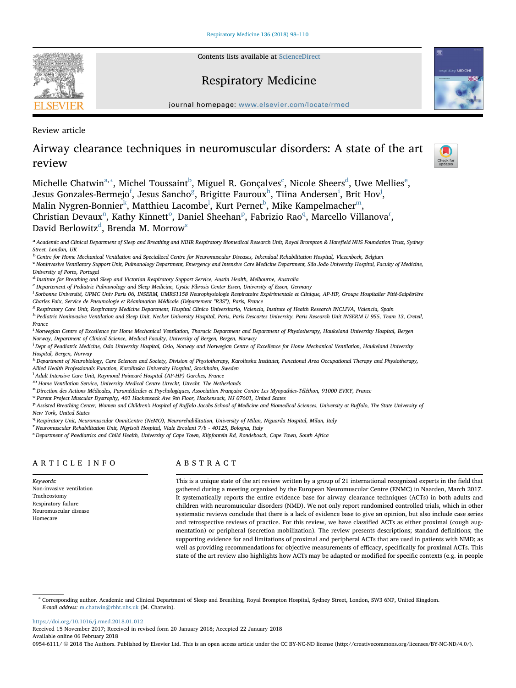Contents lists available at [ScienceDirect](http://www.sciencedirect.com/science/journal/09546111)

# Respiratory Medicine

journal homepage: [www.elsevier.com/locate/rmed](https://www.elsevier.com/locate/rmed)

Review article

# Airway clearance techniques in neuromuscular disorders: A state of the art review

Check for<br>updates

**ON MEDICINE** 

Michelle Ch[a](#page-0-0)twin $\mathrm{^{a,*}},$  Mi[c](#page-0-3)h[e](#page-0-5)l Toussaint $\mathrm{^{b},}$  $\mathrm{^{b},}$  $\mathrm{^{b},}$  Miguel R. Gonçalves $\mathrm{^{c}},$  Nicole Sheers $\mathrm{^{d},}$  Uwe Mellies $\mathrm{^{e},}$ Jesus Gonzales-Berme[j](#page-0-10)o $^{\rm f}$  $^{\rm f}$  $^{\rm f}$ , Jesus Sanc[h](#page-0-8)o $^{\rm g}$  $^{\rm g}$  $^{\rm g}$ , Br[i](#page-0-9)gitte Fauroux $^{\rm h}$ , Tiina Andersen $^{\rm i}$ , Brit Hov $^{\rm j}$ , Ma[l](#page-0-12)in Nygren-Bonnier $^{\rm k}$  $^{\rm k}$  $^{\rm k}$ , Matthieu Lacom[b](#page-0-2)e $^{\rm l}$ , Kurt Pernet $^{\rm b}$ , Mike Kampelmacher $^{\rm m}$ , Christia[n](#page-0-14) Devaux<sup>n</sup>, Kathy Kinnett<sup>[o](#page-0-15)</su[p](#page-0-16)>, Daniel Sheehan<sup>p</sup>, Fabrizio Rao<sup>[q](#page-0-17)</sup>, Ma[r](#page-0-18)cello Villanova<sup>r</sup>, Davi[d](#page-0-4) Berlowitz $^{\rm d}$ , Brenda M. Morrow $^{\rm s}$  $^{\rm s}$  $^{\rm s}$ 

<span id="page-0-0"></span>a Academic and Clinical Department of Sleep and Breathing and NIHR Respiratory Biomedical Research Unit, Royal Brompton & Harefield NHS Foundation Trust, Sydney Street, London, UK

<span id="page-0-2"></span><sup>b</sup> Centre for Home Mechanical Ventilation and Specialized Centre for Neuromuscular Diseases, Inkendaal Rehabilitation Hospital, Vlezenbeek, Belgium

<span id="page-0-3"></span>c Noninvasive Ventilatory Support Unit, Pulmonology Department, Emergency and Intensive Care Medicine Department, São João University Hospital, Faculty of Medicine, University of Porto, Portugal

<span id="page-0-4"></span><sup>d</sup> Institute for Breathing and Sleep and Victorian Respiratory Support Service, Austin Health, Melbourne, Australia

<span id="page-0-5"></span>e Departement of Pediatric Pulmonology and Sleep Medicine, Cystic Fibrosis Center Essen, University of Essen, Germany

<span id="page-0-6"></span>f Sorbonne Université, UPMC Univ Paris 06, INSERM, UMRS1158 Neurophysiologie Respiratoire Expérimentale et Clinique, AP-HP, Groupe Hospitalier Pitié-Salpêtrière Charles Foix, Service de Pneumologie et Réanimation Médicale (Département "R3S"), Paris, France

<span id="page-0-7"></span><sup>g</sup> Respiratory Care Unit, Respiratory Medicine Department, Hospital Clinico Universitario, Valencia, Institute of Health Research INCLIVA, Valencia, Spain

<span id="page-0-8"></span><sup>h</sup> Pediatric Noninvasive Ventilation and Sleep Unit, Necker University Hospital, Paris, Paris Descartes University, Paris Research Unit INSERM U 955, Team 13, Creteil, France

<span id="page-0-9"></span><sub>.</sub><br>Norwegian Centre of Excellence for Home Mechanical Ventilation, Thoracic Department and Department of Physiotherapy, Haukeland University Hospital, Bergen Norway, Department of Clinical Science, Medical Faculty, University of Bergen, Bergen, Norway

<span id="page-0-10"></span>j Dept of Peadiatric Medicine, Oslo University Hospital, Oslo, Norway and Norwegian Centre of Excellence for Home Mechanical Ventilation, Haukeland University Hospital, Bergen, Norway

<span id="page-0-11"></span>k Department of Neurobiology, Care Sciences and Society, Division of Physiotherapy, Karolinska Institutet, Functional Area Occupational Therapy and Physiotherapy, Allied Health Professionals Function, Karolinska University Hospital, Stockholm, Sweden

<span id="page-0-12"></span><sup>1</sup> Adult Intensive Care Unit, Raymond Poincaré Hospital (AP-HP) Garches, France

<span id="page-0-13"></span>

<span id="page-0-14"></span>m Home Ventilation Service, University Medical Centre Utrecht, Utrecht, The Netherlands<br>n Direction des Actions Médicales, Paramédicales et Psychologiques, Association Française Contre Les Myopathies-Téléthon, 91000 EVRY,

<span id="page-0-15"></span><sup>o</sup> Parent Project Muscular Dystrophy, 401 Hackensack Ave 9th Floor, Hackensack, NJ 07601, United States

<span id="page-0-16"></span>P Assisted Breathing Center, Women and Children's Hospital of Buffalo Jacobs School of Medicine and Biomedical Sciences, University at Buffalo, The State University of

New York, United States

<span id="page-0-17"></span><sup>q</sup> Respiratory Unit, Neuromuscular OmniCentre (NeMO), Neurorehabilitation, University of Milan, Niguarda Hospital, Milan, Italy

<span id="page-0-18"></span>r Neuromuscular Rehabilitation Unit, Nigrisoli Hospital, Viale Ercolani 7/b - 40125, Bologna, Italy

<span id="page-0-19"></span>s Department of Paediatrics and Child Health, University of Cape Town, Klipfontein Rd, Rondebosch, Cape Town, South Africa

# ARTICLE INFO

Keywords: Non-invasive ventilation Tracheostomy Respiratory failure Neuromuscular disease Homecare

# ABSTRACT

This is a unique state of the art review written by a group of 21 international recognized experts in the field that gathered during a meeting organized by the European Neuromuscular Centre (ENMC) in Naarden, March 2017. It systematically reports the entire evidence base for airway clearance techniques (ACTs) in both adults and children with neuromuscular disorders (NMD). We not only report randomised controlled trials, which in other systematic reviews conclude that there is a lack of evidence base to give an opinion, but also include case series and retrospective reviews of practice. For this review, we have classified ACTs as either proximal (cough augmentation) or peripheral (secretion mobilization). The review presents descriptions; standard definitions; the supporting evidence for and limitations of proximal and peripheral ACTs that are used in patients with NMD; as well as providing recommendations for objective measurements of efficacy, specifically for proximal ACTs. This state of the art review also highlights how ACTs may be adapted or modified for specific contexts (e.g. in people

<span id="page-0-1"></span><sup>∗</sup> Corresponding author. Academic and Clinical Department of Sleep and Breathing, Royal Brompton Hospital, Sydney Street, London, SW3 6NP, United Kingdom. E-mail address: [m.chatwin@rbht.nhs.uk](mailto:m.chatwin@rbht.nhs.uk) (M. Chatwin).

<https://doi.org/10.1016/j.rmed.2018.01.012>

Received 15 November 2017; Received in revised form 20 January 2018; Accepted 22 January 2018 Available online 06 February 2018

0954-6111/ © 2018 The Authors. Published by Elsevier Ltd. This is an open access article under the CC BY-NC-ND license (http://creativecommons.org/licenses/BY-NC-ND/4.0/).

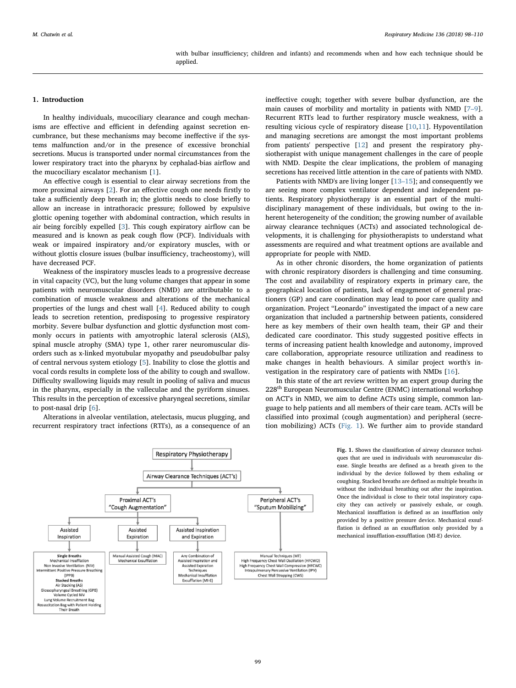#### with bulbar insufficiency; children and infants) and recommends when and how each technique should be applied.

## 1. Introduction

In healthy individuals, mucociliary clearance and cough mechanisms are effective and efficient in defending against secretion encumbrance, but these mechanisms may become ineffective if the systems malfunction and/or in the presence of excessive bronchial secretions. Mucus is transported under normal circumstances from the lower respiratory tract into the pharynx by cephalad-bias airflow and the mucociliary escalator mechanism [[1](#page-10-0)].

An effective cough is essential to clear airway secretions from the more proximal airways [[2](#page-10-1)]. For an effective cough one needs firstly to take a sufficiently deep breath in; the glottis needs to close briefly to allow an increase in intrathoracic pressure; followed by expulsive glottic opening together with abdominal contraction, which results in air being forcibly expelled [\[3\]](#page-10-2). This cough expiratory airflow can be measured and is known as peak cough flow (PCF). Individuals with weak or impaired inspiratory and/or expiratory muscles, with or without glottis closure issues (bulbar insufficiency, tracheostomy), will have decreased PCF.

Weakness of the inspiratory muscles leads to a progressive decrease in vital capacity (VC), but the lung volume changes that appear in some patients with neuromuscular disorders (NMD) are attributable to a combination of muscle weakness and alterations of the mechanical properties of the lungs and chest wall [[4](#page-10-3)]. Reduced ability to cough leads to secretion retention, predisposing to progessive respiratory morbity. Severe bulbar dysfunction and glottic dysfunction most commonly occurs in patients with amyotrophic lateral sclerosis (ALS), spinal muscle atrophy (SMA) type 1, other rarer neuromuscular disorders such as x-linked myotubular myopathy and pseudobulbar palsy of central nervous system etiology [\[5\]](#page-10-4). Inability to close the glottis and vocal cords results in complete loss of the ability to cough and swallow. Difficulty swallowing liquids may result in pooling of saliva and mucus in the pharynx, especially in the valleculae and the pyriform sinuses. This results in the perception of excessive pharyngeal secretions, similar to post-nasal drip [[6](#page-10-5)].

Alterations in alveolar ventilation, atelectasis, mucus plugging, and recurrent respiratory tract infections (RTI's), as a consequence of an ineffective cough; together with severe bulbar dysfunction, are the main causes of morbility and mortality in patients with NMD [\[7](#page-10-6)–9]. Recurrent RTI's lead to further respiratory muscle weakness, with a resulting vicious cycle of respiratory disease [[10,](#page-10-7)[11](#page-10-8)]. Hypoventilation and managing secretions are amongst the most important problems from patients' perspective [[12\]](#page-10-9) and present the respiratory physiotherapist with unique management challenges in the care of people with NMD. Despite the clear implications, the problem of managing secretions has received little attention in the care of patients with NMD.

Patients with NMD's are living longer [13–[15\]](#page-10-10); and consequently we are seeing more complex ventilator dependent and independent patients. Respiratory physiotherapy is an essential part of the multidisciplinary management of these individuals, but owing to the inherent heterogeneity of the condition; the growing number of available airway clearance techniques (ACTs) and associated technological developments, it is challenging for physiotherapists to understand what assessments are required and what treatment options are available and appropriate for people with NMD.

As in other chronic disorders, the home organization of patients with chronic respiratory disorders is challenging and time consuming. The cost and availability of respiratory experts in primary care, the geographical location of patients, lack of engagmenet of general practioners (GP) and care coordination may lead to poor care quality and organization. Project "Leonardo" investigated the impact of a new care organization that included a partnership between patients, considered here as key members of their own health team, their GP and their dedicated care coordinator. This study suggested positive effects in terms of increasing patient health knowledge and autonomy, improved care collaboration, appropriate resource utilization and readiness to make changes in health behaviours. A similar project worth's investigation in the respiratory care of patients with NMDs [\[16](#page-10-11)].

In this state of the art review written by an expert group during the 228th European Neuromuscular Centre (ENMC) international workshop on ACT's in NMD, we aim to define ACTs using simple, common language to help patients and all members of their care team. ACTs will be classified into proximal (cough augmentation) and peripheral (secretion mobilizing) ACTs ([Fig. 1\)](#page-1-0). We further aim to provide standard

<span id="page-1-0"></span>

Fig. 1. Shows the classification of airway clearance techniques that are used in individuals with neuromuscular disease. Single breaths are defined as a breath given to the individual by the device followed by them exhaling or coughing. Stacked breaths are defined as multiple breaths in without the individual breathing out after the inspiration. Once the individual is close to their total inspiratory capacity they can actively or passively exhale, or cough. Mechanical insufflation is defined as an insufflation only provided by a positive pressure device. Mechanical exsufflation is defined as an exsufflation only provided by a mechanical insufflation-exsufflation (MI-E) device.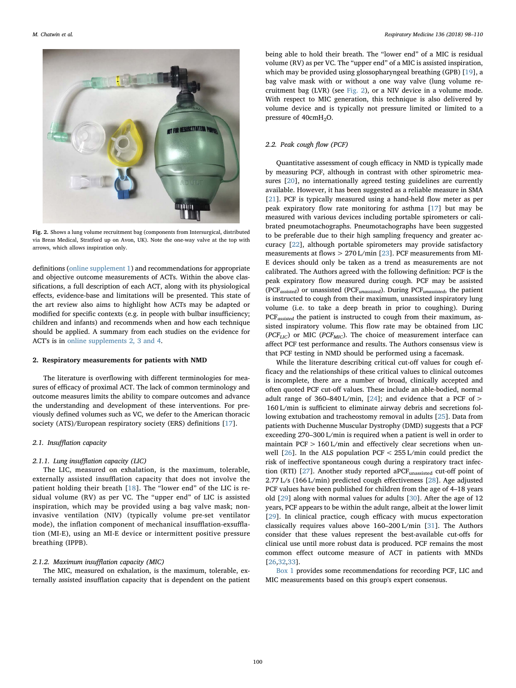<span id="page-2-0"></span>

Fig. 2. Shows a lung volume recruitment bag (components from Intersurgical, distributed via Breas Medical, Stratford up on Avon, UK). Note the one-way valve at the top with arrows, which allows inspiration only.

definitions (online supplement 1) and recommendations for appropriate and objective outcome measurements of ACTs. Within the above classifications, a full description of each ACT, along with its physiological effects, evidence-base and limitations will be presented. This state of the art review also aims to highlight how ACTs may be adapted or modified for specific contexts (e.g. in people with bulbar insufficiency; children and infants) and recommends when and how each technique should be applied. A summary from each studies on the evidence for ACT's is in online supplements 2, 3 and 4.

## 2. Respiratory measurements for patients with NMD

The literature is overflowing with different terminologies for measures of efficacy of proximal ACT. The lack of common terminology and outcome measures limits the ability to compare outcomes and advance the understanding and development of these interventions. For previously defined volumes such as VC, we defer to the American thoracic society (ATS)/European respiratory society (ERS) definitions [[17\]](#page-10-12).

# 2.1. Insufflation capacity

## 2.1.1. Lung insufflation capacity (LIC)

The LIC, measured on exhalation, is the maximum, tolerable, externally assisted insufflation capacity that does not involve the patient holding their breath [[18](#page-10-13)]. The "lower end" of the LIC is residual volume (RV) as per VC. The "upper end" of LIC is assisted inspiration, which may be provided using a bag valve mask; noninvasive ventilation (NIV) (typically volume pre-set ventilator mode), the inflation component of mechanical insufflation-exsufflation (MI-E), using an MI-E device or intermittent positive pressure breathing (IPPB).

# 2.1.2. Maximum insufflation capacity (MIC)

The MIC, measured on exhalation, is the maximum, tolerable, externally assisted insufflation capacity that is dependent on the patient being able to hold their breath. The "lower end" of a MIC is residual volume (RV) as per VC. The "upper end" of a MIC is assisted inspiration, which may be provided using glossopharyngeal breathing (GPB) [\[19](#page-11-0)], a bag valve mask with or without a one way valve (lung volume recruitment bag (LVR) (see [Fig. 2](#page-2-0)), or a NIV device in a volume mode. With respect to MIC generation, this technique is also delivered by volume device and is typically not pressure limited or limited to a pressure of 40cmH<sub>2</sub>O.

# 2.2. Peak cough flow (PCF)

Quantitative assessment of cough efficacy in NMD is typically made by measuring PCF, although in contrast with other spirometric measures [\[20](#page-11-1)], no internationally agreed testing guidelines are currently available. However, it has been suggested as a reliable measure in SMA [[21\]](#page-11-2). PCF is typically measured using a hand-held flow meter as per peak expiratory flow rate monitoring for asthma [\[17](#page-10-12)] but may be measured with various devices including portable spirometers or calibrated pneumotachographs. Pneumotachographs have been suggested to be preferable due to their high sampling frequency and greater accuracy [[22\]](#page-11-3), although portable spirometers may provide satisfactory measurements at flows > 270 L/min [[23\]](#page-11-4). PCF measurements from MI-E devices should only be taken as a trend as measurements are not calibrated. The Authors agreed with the following definition: PCF is the peak expiratory flow measured during cough. PCF may be assisted (PCF<sub>assisted</sub>) or unassisted (PCF<sub>unassisted</sub>). During PCF<sub>unassisted</sub>, the patient is instructed to cough from their maximum, unassisted inspiratory lung volume (i.e. to take a deep breath in prior to coughing). During PCF<sub>assisted</sub> the patient is instructed to cough from their maximum, assisted inspiratory volume. This flow rate may be obtained from LIC ( $PCF_{LIC}$ ) or MIC ( $PCF_{MIC}$ ). The choice of measurement interface can affect PCF test performance and results. The Authors consensus view is that PCF testing in NMD should be performed using a facemask.

While the literature describing critical cut-off values for cough efficacy and the relationships of these critical values to clinical outcomes is incomplete, there are a number of broad, clinically accepted and often quoted PCF cut-off values. These include an able-bodied, normal adult range of 360–840 L/min,  $[24]$ ; and evidence that a PCF of > 160 L/min is sufficient to eliminate airway debris and secretions following extubation and tracheostomy removal in adults [\[25](#page-11-6)]. Data from patients with Duchenne Muscular Dystrophy (DMD) suggests that a PCF exceeding 270–300 L/min is required when a patient is well in order to maintain PCF > 160 L/min and effectively clear secretions when unwell [\[26](#page-11-7)]. In the ALS population PCF < 255 L/min could predict the risk of ineffective spontaneous cough during a respiratory tract infec-tion (RTI) [\[27](#page-11-8)]. Another study reported aPCF<sub>unassisted</sub> cut-off point of 2.77 L/s (166 L/min) predicted cough effectiveness [\[28](#page-11-9)]. Age adjusted PCF values have been published for children from the age of 4–18 years old [[29\]](#page-11-10) along with normal values for adults [[30\]](#page-11-11). After the age of 12 years, PCF appears to be within the adult range, albeit at the lower limit [[29\]](#page-11-10). In clinical practice, cough efficacy with mucus expectoration classically requires values above 160–200 L/min [\[31](#page-11-12)]. The Authors consider that these values represent the best-available cut-offs for clinical use until more robust data is produced. PCF remains the most common effect outcome measure of ACT in patients with MNDs [[26](#page-11-7)[,32](#page-11-13)[,33](#page-11-14)].

[Box 1](#page-3-0) provides some recommendations for recording PCF, LIC and MIC measurements based on this group's expert consensus.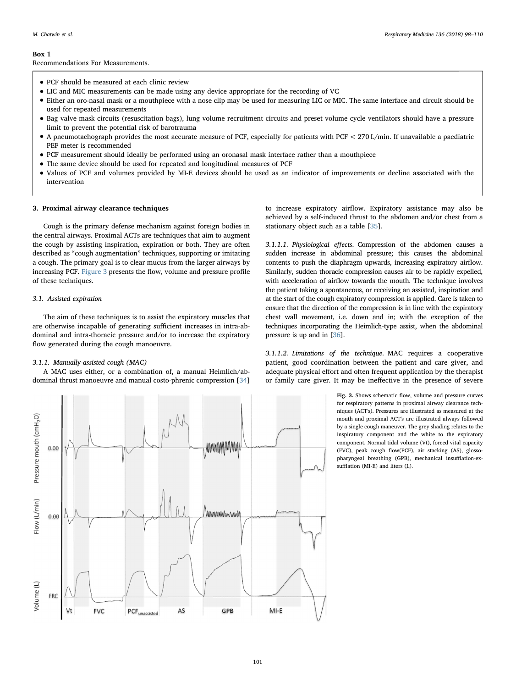#### M. Chatwin et al. *Respiratory Medicine 136 (2018) 98–110*

#### <span id="page-3-0"></span>Box 1

Recommendations For Measurements.

- PCF should be measured at each clinic review
- LIC and MIC measurements can be made using any device appropriate for the recording of VC
- Either an oro-nasal mask or a mouthpiece with a nose clip may be used for measuring LIC or MIC. The same interface and circuit should be used for repeated measurements
- Bag valve mask circuits (resuscitation bags), lung volume recruitment circuits and preset volume cycle ventilators should have a pressure limit to prevent the potential risk of barotrauma
- A pneumotachograph provides the most accurate measure of PCF, especially for patients with PCF < 270 L/min. If unavailable a paediatric PEF meter is recommended
- PCF measurement should ideally be performed using an oronasal mask interface rather than a mouthpiece
- The same device should be used for repeated and longitudinal measures of PCF
- Values of PCF and volumes provided by MI-E devices should be used as an indicator of improvements or decline associated with the intervention

## 3. Proximal airway clearance techniques

Cough is the primary defense mechanism against foreign bodies in the central airways. Proximal ACTs are techniques that aim to augment the cough by assisting inspiration, expiration or both. They are often described as "cough augmentation" techniques, supporting or imitating a cough. The primary goal is to clear mucus from the larger airways by increasing PCF. [Figure 3](#page-3-1) presents the flow, volume and pressure profile of these techniques.

# 3.1. Assisted expiration

The aim of these techniques is to assist the expiratory muscles that are otherwise incapable of generating sufficient increases in intra-abdominal and intra-thoracic pressure and/or to increase the expiratory flow generated during the cough manoeuvre.

# 3.1.1. Manually-assisted cough (MAC)

A MAC uses either, or a combination of, a manual Heimlich/abdominal thrust manoeuvre and manual costo-phrenic compression [\[34](#page-11-15)]

<span id="page-3-1"></span>Pressure mouth (cmH<sub>2</sub>O)  $0.00$ low (L/min) www.www.ww  $0.00$ /olume (L) FRC **FVC** Vt AS GPB  $MI-E$ PCF<sub>unassisted</sub>

to increase expiratory airflow. Expiratory assistance may also be achieved by a self-induced thrust to the abdomen and/or chest from a stationary object such as a table [\[35](#page-11-16)].

3.1.1.1. Physiological effects. Compression of the abdomen causes a sudden increase in abdominal pressure; this causes the abdominal contents to push the diaphragm upwards, increasing expiratory airflow. Similarly, sudden thoracic compression causes air to be rapidly expelled, with acceleration of airflow towards the mouth. The technique involves the patient taking a spontaneous, or receiving an assisted, inspiration and at the start of the cough expiratory compression is applied. Care is taken to ensure that the direction of the compression is in line with the expiratory chest wall movement, i.e. down and in; with the exception of the techniques incorporating the Heimlich-type assist, when the abdominal pressure is up and in [\[36\]](#page-11-17).

3.1.1.2. Limitations of the technique. MAC requires a cooperative patient, good coordination between the patient and care giver, and adequate physical effort and often frequent application by the therapist or family care giver. It may be ineffective in the presence of severe

> Fig. 3. Shows schematic flow, volume and pressure curves for respiratory patterns in proximal airway clearance techniques (ACT's). Pressures are illustrated as measured at the mouth and proximal ACT's are illustrated always followed by a single cough maneuver. The grey shading relates to the inspiratory component and the white to the expiratory component. Normal tidal volume (Vt), forced vital capacity (FVC), peak cough flow(PCF), air stacking (AS), glossopharyngeal breathing (GPB), mechanical insufflation-exsufflation (MI-E) and liters (L).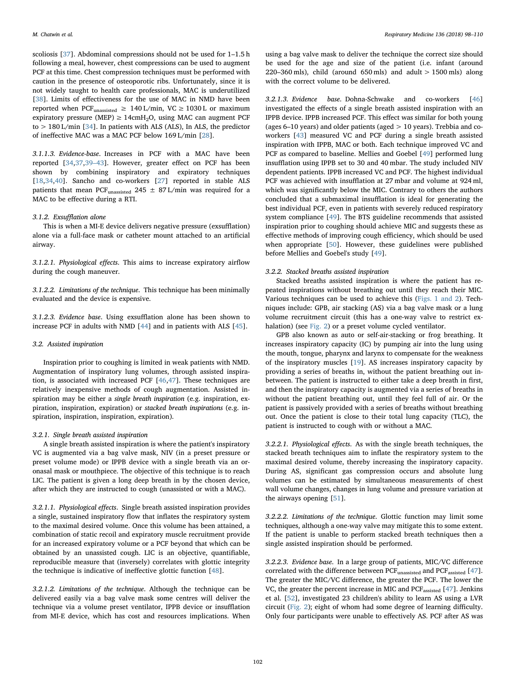scoliosis [[37\]](#page-11-18). Abdominal compressions should not be used for 1–1.5 h following a meal, however, chest compressions can be used to augment PCF at this time. Chest compression techniques must be performed with caution in the presence of osteoporotic ribs. Unfortunately, since it is not widely taught to health care professionals, MAC is underutilized [[38\]](#page-11-19). Limits of effectiveness for the use of MAC in NMD have been reported when PCF<sub>unassisted</sub>  $\geq 140$  L/min, VC  $\geq 1030$  L or maximum expiratory pressure (MEP)  $\geq 14$ cmH<sub>2</sub>O, using MAC can augment PCF to > 180 L/min [[34](#page-11-15)]. In patients with ALS (ALS), In ALS, the predictor of ineffective MAC was a MAC PCF below 169 L/min [\[28](#page-11-9)].

3.1.1.3. Evidence-base. Increases in PCF with a MAC have been reported [[34,](#page-11-15)[37](#page-11-18)[,39](#page-11-20)–43]. However, greater effect on PCF has been shown by combining inspiratory and expiratory techniques [[18](#page-10-13)[,34](#page-11-15)[,40](#page-11-21)]. Sancho and co-workers [[27\]](#page-11-8) reported in stable ALS patients that mean PCF<sub>unassisted</sub> 245  $\pm$  87 L/min was required for a MAC to be effective during a RTI.

## 3.1.2. Exsufflation alone

This is when a MI-E device delivers negative pressure (exsufflation) alone via a full-face mask or catheter mount attached to an artificial airway.

3.1.2.1. Physiological effects. This aims to increase expiratory airflow during the cough maneuver.

3.1.2.2. Limitations of the technique. This technique has been minimally evaluated and the device is expensive.

3.1.2.3. Evidence base. Using exsufflation alone has been shown to increase PCF in adults with NMD [\[44](#page-11-22)] and in patients with ALS [\[45](#page-11-23)].

# 3.2. Assisted inspiration

Inspiration prior to coughing is limited in weak patients with NMD. Augmentation of inspiratory lung volumes, through assisted inspiration, is associated with increased PCF [\[46](#page-11-24)[,47](#page-11-25)]. These techniques are relatively inexpensive methods of cough augmentation. Assisted inspiration may be either a single breath inspiration (e.g. inspiration, expiration, inspiration, expiration) or stacked breath inspirations (e.g. inspiration, inspiration, inspiration, expiration).

## 3.2.1. Single breath assisted inspiration

A single breath assisted inspiration is where the patient's inspiratory VC is augmented via a bag valve mask, NIV (in a preset pressure or preset volume mode) or IPPB device with a single breath via an oronasal mask or mouthpiece. The objective of this technique is to reach LIC. The patient is given a long deep breath in by the chosen device, after which they are instructed to cough (unassisted or with a MAC).

3.2.1.1. Physiological effects. Single breath assisted inspiration provides a single, sustained inspiratory flow that inflates the respiratory system to the maximal desired volume. Once this volume has been attained, a combination of static recoil and expiratory muscle recruitment provide for an increased expiratory volume or a PCF beyond that which can be obtained by an unassisted cough. LIC is an objective, quantifiable, reproducible measure that (inversely) correlates with glottic integrity the technique is indicative of ineffective glottic function [\[48](#page-11-26)].

3.2.1.2. Limitations of the technique. Although the technique can be delivered easily via a bag valve mask some centres will deliver the technique via a volume preset ventilator, IPPB device or insufflation from MI-E device, which has cost and resources implications. When

using a bag valve mask to deliver the technique the correct size should be used for the age and size of the patient (i.e. infant (around 220–360 mls), child (around 650 mls) and adult  $> 1500$  mls) along with the correct volume to be delivered.

3.2.1.3. Evidence base. Dohna-Schwake and co-workers [\[46](#page-11-24)] investigated the effects of a single breath assisted inspiration with an IPPB device. IPPB increased PCF. This effect was similar for both young (ages 6–10 years) and older patients (aged > 10 years). Trebbia and coworkers [[43\]](#page-11-27) measured VC and PCF during a single breath assisted inspiration with IPPB, MAC or both. Each technique improved VC and PCF as compared to baseline. Mellies and Goebel [[49\]](#page-11-28) performed lung insufflation using IPPB set to 30 and 40 mbar. The study included NIV dependent patients. IPPB increased VC and PCF. The highest individual PCF was achieved with insufflation at 27 mbar and volume at 924 ml, which was significantly below the MIC. Contrary to others the authors concluded that a submaximal insufflation is ideal for generating the best individual PCF, even in patients with severely reduced respiratory system compliance [[49\]](#page-11-28). The BTS guideline recommends that assisted inspiration prior to coughing should achieve MIC and suggests these as effective methods of improving cough efficiency, which should be used when appropriate [[50\]](#page-11-29). However, these guidelines were published before Mellies and Goebel's study [[49\]](#page-11-28).

## 3.2.2. Stacked breaths assisted inspiration

Stacked breaths assisted inspiration is where the patient has repeated inspirations without breathing out until they reach their MIC. Various techniques can be used to achieve this [\(Figs. 1 and 2\)](#page-1-0). Techniques include: GPB, air stacking (AS) via a bag valve mask or a lung volume recruitment circuit (this has a one-way valve to restrict exhalation) (see [Fig. 2](#page-2-0)) or a preset volume cycled ventilator.

GPB also known as auto or self-air-stacking or frog breathing. It increases inspiratory capacity (IC) by pumping air into the lung using the mouth, tongue, pharynx and larynx to compensate for the weakness of the inspiratory muscles [[19\]](#page-11-0). AS increases inspiratory capacity by providing a series of breaths in, without the patient breathing out inbetween. The patient is instructed to either take a deep breath in first, and then the inspiratory capacity is augmented via a series of breaths in without the patient breathing out, until they feel full of air. Or the patient is passively provided with a series of breaths without breathing out. Once the patient is close to their total lung capacity (TLC), the patient is instructed to cough with or without a MAC.

3.2.2.1. Physiological effects. As with the single breath techniques, the stacked breath techniques aim to inflate the respiratory system to the maximal desired volume, thereby increasing the inspiratory capacity. During AS, significant gas compression occurs and absolute lung volumes can be estimated by simultaneous measurements of chest wall volume changes, changes in lung volume and pressure variation at the airways opening [[51\]](#page-11-30).

3.2.2.2. Limitations of the technique. Glottic function may limit some techniques, although a one-way valve may mitigate this to some extent. If the patient is unable to perform stacked breath techniques then a single assisted inspiration should be performed.

3.2.2.3. Evidence base. In a large group of patients, MIC/VC difference correlated with the difference between  $PGF<sub>unassigned</sub>$  and  $PGF<sub>assisted</sub>$  [\[47](#page-11-25)]. The greater the MIC/VC difference, the greater the PCF. The lower the VC, the greater the percent increase in MIC and PCF<sub>assisted</sub> [\[47](#page-11-25)]. Jenkins et al. [[52](#page-11-31)], investigated 23 children's ability to learn AS using a LVR circuit ([Fig. 2](#page-2-0)); eight of whom had some degree of learning difficulty. Only four participants were unable to effectively AS. PCF after AS was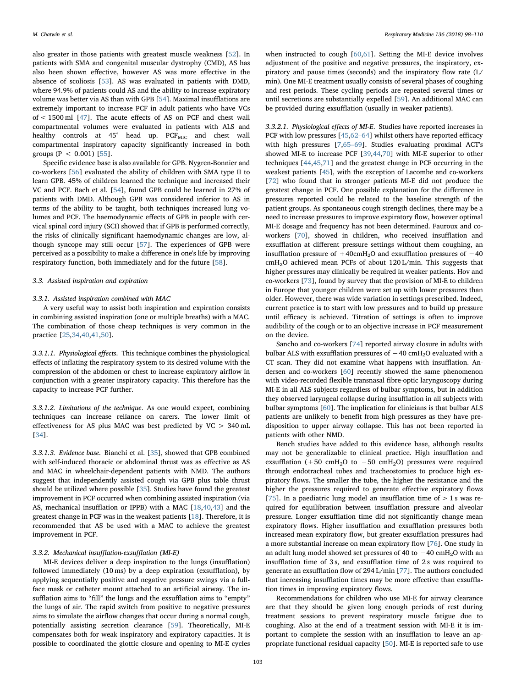also greater in those patients with greatest muscle weakness [[52\]](#page-11-31). In patients with SMA and congenital muscular dystrophy (CMD), AS has also been shown effective, however AS was more effective in the absence of scoliosis [\[53\]](#page-11-32). AS was evaluated in patients with DMD, where 94.9% of patients could AS and the ability to increase expiratory volume was better via AS than with GPB [\[54](#page-11-33)]. Maximal insufflations are extremely important to increase PCF in adult patients who have VCs of < 1500 ml [[47\]](#page-11-25). The acute effects of AS on PCF and chest wall compartmental volumes were evaluated in patients with ALS and healthy controls at  $45^\circ$  head up. PCF<sub>MIC</sub> and chest wall compartmental inspiratory capacity significantly increased in both groups ( $P < 0.001$ ) [\[55](#page-11-34)].

Specific evidence base is also available for GPB. Nygren-Bonnier and co-workers [[56\]](#page-11-35) evaluated the ability of children with SMA type II to learn GPB. 45% of children learned the technique and increased their VC and PCF. Bach et al. [[54\]](#page-11-33), found GPB could be learned in 27% of patients with DMD. Although GPB was considered inferior to AS in terms of the ability to be taught, both techniques increased lung volumes and PCF. The haemodynamic effects of GPB in people with cervical spinal cord injury (SCI) showed that if GPB is performed correctly, the risks of clinically significant haemodynamic changes are low, although syncope may still occur [\[57](#page-11-36)]. The experiences of GPB were perceived as a possibility to make a difference in one's life by improving respiratory function, both immediately and for the future [\[58](#page-11-37)].

#### 3.3. Assisted inspiration and expiration

## 3.3.1. Assisted inspiration combined with MAC

A very useful way to assist both inspiration and expiration consists in combining assisted inspiration (one or multiple breaths) with a MAC. The combination of those cheap techniques is very common in the practice [[25,](#page-11-6)[34](#page-11-15)[,40](#page-11-21)[,41](#page-11-38),[50\]](#page-11-29).

3.3.1.1. Physiological effects. This technique combines the physiological effects of inflating the respiratory system to its desired volume with the compression of the abdomen or chest to increase expiratory airflow in conjunction with a greater inspiratory capacity. This therefore has the capacity to increase PCF further.

3.3.1.2. Limitations of the technique. As one would expect, combining techniques can increase reliance on carers. The lower limit of effectiveness for AS plus MAC was best predicted by VC > 340 mL [[34\]](#page-11-15).

3.3.1.3. Evidence base. Bianchi et al. [\[35](#page-11-16)], showed that GPB combined with self-induced thoracic or abdominal thrust was as effective as AS and MAC in wheelchair-dependent patients with NMD. The authors suggest that independently assisted cough via GPB plus table thrust should be utilized where possible [[35\]](#page-11-16). Studies have found the greatest improvement in PCF occurred when combining assisted inspiration (via AS, mechanical insufflation or IPPB) with a MAC [\[18](#page-10-13)[,40](#page-11-21),[43\]](#page-11-27) and the greatest change in PCF was in the weakest patients [[18\]](#page-10-13). Therefore, it is recommended that AS be used with a MAC to achieve the greatest improvement in PCF.

## 3.3.2. Mechanical insufflation-exsufflation (MI-E)

MI-E devices deliver a deep inspiration to the lungs (insufflation) followed immediately (10 ms) by a deep expiration (exsufflation), by applying sequentially positive and negative pressure swings via a fullface mask or catheter mount attached to an artificial airway. The insufflation aims to "fill" the lungs and the exsufflation aims to "empty" the lungs of air. The rapid switch from positive to negative pressures aims to simulate the airflow changes that occur during a normal cough, potentially assisting secretion clearance [\[59](#page-11-39)]. Theoretically, MI-E compensates both for weak inspiratory and expiratory capacities. It is possible to coordinated the glottic closure and opening to MI-E cycles

when instructed to cough [\[60](#page-11-40)[,61](#page-11-41)]. Setting the MI-E device involves adjustment of the positive and negative pressures, the inspiratory, expiratory and pause times (seconds) and the inspiratory flow rate (L/ min). One MI-E treatment usually consists of several phases of coughing and rest periods. These cycling periods are repeated several times or until secretions are substantially expelled [\[59](#page-11-39)]. An additional MAC can be provided during exsufflation (usually in weaker patients).

3.3.2.1. Physiological effects of MI-E. Studies have reported increases in PCF with low pressures [[45,](#page-11-23)62–[64\]](#page-11-42) whilst others have reported efficacy with high pressures [\[7](#page-10-6)[,65](#page-11-43)–69]. Studies evaluating proximal ACT's showed MI-E to increase PCF [\[39](#page-11-20),[44,](#page-11-22)[70\]](#page-11-44) with MI-E superior to other techniques [\[44](#page-11-22),[45,](#page-11-23)[71\]](#page-11-45) and the greatest change in PCF occurring in the weakest patients [[45\]](#page-11-23), with the exception of Lacombe and co-workers [[72\]](#page-11-46) who found that in stronger patients MI-E did not produce the greatest change in PCF. One possible explanation for the difference in pressures reported could be related to the baseline strength of the patient groups. As spontaneous cough strength declines, there may be a need to increase pressures to improve expiratory flow, however optimal MI-E dosage and frequency has not been determined. Fauroux and coworkers [\[70](#page-11-44)], showed in children, who received insufflation and exsufflation at different pressure settings without them coughing, an insufflation pressure of  $+40$ cmH<sub>2</sub>O and exsufflation pressures of  $-40$ cmH2O achieved mean PCFs of about 120 L/min. This suggests that higher pressures may clinically be required in weaker patients. Hov and co-workers [[73\]](#page-11-47), found by survey that the provision of MI-E to children in Europe that younger children were set up with lower pressures than older. However, there was wide variation in settings prescribed. Indeed, current practice is to start with low pressures and to build up pressure until efficacy is achieved. Titration of settings is often to improve audibility of the cough or to an objective increase in PCF measurement on the device.

Sancho and co-workers [[74\]](#page-11-48) reported airway closure in adults with bulbar ALS with exsufflation pressures of  $-40 \text{ cm}H_2O$  evaluated with a CT scan. They did not examine what happens with insufflation. Andersen and co-workers [\[60](#page-11-40)] recently showed the same phenomenon with video-recorded flexible transnasal fibre-optic laryngoscopy during MI-E in all ALS subjects regardless of bulbar symptoms, but in addition they observed laryngeal collapse during insufflation in all subjects with bulbar symptoms [[60\]](#page-11-40). The implication for clinicians is that bulbar ALS patients are unlikely to benefit from high pressures as they have predisposition to upper airway collapse. This has not been reported in patients with other NMD.

Bench studies have added to this evidence base, although results may not be generalizable to clinical practice. High insufflation and exsufflation (+50 cmH<sub>2</sub>O to -50 cmH<sub>2</sub>O) pressures were required through endotracheal tubes and tracheostomies to produce high expiratory flows. The smaller the tube, the higher the resistance and the higher the pressures required to generate effective expiratory flows [[75\]](#page-11-49). In a paediatric lung model an insufflation time of  $> 1$  s was required for equilibration between insufflation pressure and alveolar pressure. Longer exsufflation time did not significantly change mean expiratory flows. Higher insufflation and exsufflation pressures both increased mean expiratory flow, but greater exsufflation pressures had a more substantial increase on mean expiratory flow [\[76](#page-11-50)]. One study in an adult lung model showed set pressures of 40 to  $-40 \text{ cm}$ H<sub>2</sub>O with an insufflation time of 3 s, and exsufflation time of 2 s was required to generate an exsufflation flow of 294 L/min [\[77](#page-12-0)]. The authors concluded that increasing insufflation times may be more effective than exsufflation times in improving expiratory flows.

Recommendations for children who use MI-E for airway clearance are that they should be given long enough periods of rest during treatment sessions to prevent respiratory muscle fatigue due to coughing. Also at the end of a treatment session with MI-E it is important to complete the session with an insufflation to leave an appropriate functional residual capacity [[50\]](#page-11-29). MI-E is reported safe to use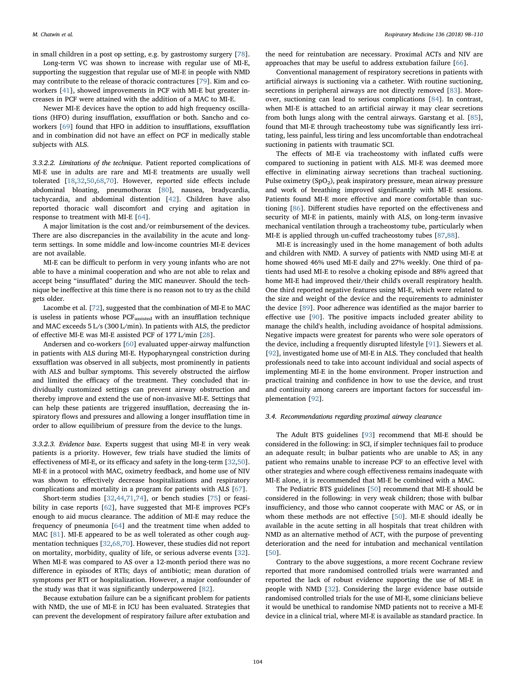in small children in a post op setting, e.g. by gastrostomy surgery [\[78](#page-12-1)].

Long-term VC was shown to increase with regular use of MI-E, supporting the suggestion that regular use of MI-E in people with NMD may contribute to the release of thoracic contractures [\[79](#page-12-2)]. Kim and coworkers [[41\]](#page-11-38), showed improvements in PCF with MI-E but greater increases in PCF were attained with the addition of a MAC to MI-E.

Newer MI-E devices have the option to add high frequency oscillations (HFO) during insufflation, exsufflation or both. Sancho and coworkers [\[69](#page-11-51)] found that HFO in addition to insufflations, exsufflation and in combination did not have an effect on PCF in medically stable subjects with ALS.

3.3.2.2. Limitations of the technique. Patient reported complications of MI-E use in adults are rare and MI-E treatments are usually well tolerated [[18,](#page-10-13)[32,](#page-11-13)[50](#page-11-29)[,68](#page-11-52)[,70](#page-11-44)]. However, reported side effects include abdominal bloating, pneumothorax [\[80](#page-12-3)], nausea, bradycardia, tachycardia, and abdominal distention [[42\]](#page-11-53). Children have also reported thoracic wall discomfort and crying and agitation in response to treatment with MI-E [\[64](#page-11-54)].

A major limitation is the cost and/or reimbursement of the devices. There are also discrepancies in the availability in the acute and longterm settings. In some middle and low-income countries MI-E devices are not available.

MI-E can be difficult to perform in very young infants who are not able to have a minimal cooperation and who are not able to relax and accept being "insufflated" during the MIC maneuver. Should the technique be ineffective at this time there is no reason not to try as the child gets older.

Lacombe et al. [\[72](#page-11-46)], suggested that the combination of MI-E to MAC is useless in patients whose PCF<sub>assisted</sub> with an insufflation technique and MAC exceeds 5 L/s (300 L/min). In patients with ALS, the predictor of effective MI-E was MI-E assisted PCF of 177 L/min [[28\]](#page-11-9).

Andersen and co-workers [\[60](#page-11-40)] evaluated upper-airway malfunction in patients with ALS during MI-E. Hypopharyngeal constriction during exsufflation was observed in all subjects, most prominently in patients with ALS and bulbar symptoms. This severely obstructed the airflow and limited the efficacy of the treatment. They concluded that individually customized settings can prevent airway obstruction and thereby improve and extend the use of non-invasive MI-E. Settings that can help these patients are triggered insufflation, decreasing the inspiratory flows and pressures and allowing a longer insufflation time in order to allow equilibrium of pressure from the device to the lungs.

3.3.2.3. Evidence base. Experts suggest that using MI-E in very weak patients is a priority. However, few trials have studied the limits of effectiveness of MI-E, or its efficacy and safety in the long-term [[32,](#page-11-13)[50](#page-11-29)]. MI-E in a protocol with MAC, oximetry feedback, and home use of NIV was shown to effectively decrease hospitalizations and respiratory complications and mortality in a program for patients with ALS [\[67](#page-11-55)].

Short-term studies [\[32](#page-11-13)[,44](#page-11-22),[71,](#page-11-45)[74\]](#page-11-48), or bench studies [[75\]](#page-11-49) or feasibility in case reports [\[62](#page-11-42)], have suggested that MI-E improves PCF's enough to aid mucus clearance. The addition of MI-E may reduce the frequency of pneumonia [[64\]](#page-11-54) and the treatment time when added to MAC [\[81](#page-12-4)]. MI-E appeared to be as well tolerated as other cough augmentation techniques [[32,](#page-11-13)[68](#page-11-52)[,70](#page-11-44)]. However, these studies did not report on mortality, morbidity, quality of life, or serious adverse events [\[32](#page-11-13)]. When MI-E was compared to AS over a 12-month period there was no difference in episodes of RTIs; days of antibiotic; mean duration of symptoms per RTI or hospitalization. However, a major confounder of the study was that it was significantly underpowered [[82\]](#page-12-5).

Because extubation failure can be a significant problem for patients with NMD, the use of MI-E in ICU has been evaluated. Strategies that can prevent the development of respiratory failure after extubation and

the need for reintubation are necessary. Proximal ACTs and NIV are approaches that may be useful to address extubation failure [\[66](#page-11-56)].

Conventional management of respiratory secretions in patients with artificial airways is suctioning via a catheter. With routine suctioning, secretions in peripheral airways are not directly removed [\[83](#page-12-6)]. Moreover, suctioning can lead to serious complications [[84\]](#page-12-7). In contrast, when MI-E is attached to an artificial airway it may clear secretions from both lungs along with the central airways. Garstang et al. [\[85](#page-12-8)], found that MI-E through tracheostomy tube was significantly less irritating, less painful, less tiring and less uncomfortable than endotracheal suctioning in patients with traumatic SCI.

The effects of MI-E via tracheostomy with inflated cuffs were compared to suctioning in patient with ALS. MI-E was deemed more effective in eliminating airway secretions than tracheal suctioning. Pulse oximetry (SpO<sub>2</sub>), peak inspiratory pressure, mean airway pressure and work of breathing improved significantly with MI-E sessions. Patients found MI-E more effective and more comfortable than suctioning [\[86](#page-12-9)]. Different studies have reported on the effectiveness and security of MI-E in patients, mainly with ALS, on long-term invasive mechanical ventilation through a tracheostomy tube, particularly when MI-E is applied through un-cuffed tracheostomy tubes [[87](#page-12-10)[,88](#page-12-11)].

MI-E is increasingly used in the home management of both adults and children with NMD. A survey of patients with NMD using MI-E at home showed 46% used MI-E daily and 27% weekly. One third of patients had used MI-E to resolve a choking episode and 88% agreed that home MI-E had improved their/their child's overall respiratory health. One third reported negative features using MI-E, which were related to the size and weight of the device and the requirements to administer the device [\[89](#page-12-12)]. Poor adherence was identified as the major barrier to effective use [\[90](#page-12-13)]. The positive impacts included greater ability to manage the child's health, including avoidance of hospital admissions. Negative impacts were greatest for parents who were sole operators of the device, including a frequently disrupted lifestyle [[91\]](#page-12-14). Siewers et al. [[92\]](#page-12-15), investigated home use of MI-E in ALS. They concluded that health professionals need to take into account individual and social aspects of implementing MI-E in the home environment. Proper instruction and practical training and confidence in how to use the device, and trust and continuity among careers are important factors for successful implementation [\[92](#page-12-15)].

#### 3.4. Recommendations regarding proximal airway clearance

The Adult BTS guidelines [[93\]](#page-12-16) recommend that MI-E should be considered in the following: in SCI, if simpler techniques fail to produce an adequate result; in bulbar patients who are unable to AS; in any patient who remains unable to increase PCF to an effective level with other strategies and where cough effectiveness remains inadequate with MI-E alone, it is recommended that MI-E be combined with a MAC.

The Pediatric BTS guidelines [[50\]](#page-11-29) recommend that MI-E should be considered in the following: in very weak children; those with bulbar insufficiency, and those who cannot cooperate with MAC or AS, or in whom these methods are not effective [\[50](#page-11-29)]. MI-E should ideally be available in the acute setting in all hospitals that treat children with NMD as an alternative method of ACT, with the purpose of preventing deterioration and the need for intubation and mechanical ventilation [[50\]](#page-11-29).

Contrary to the above suggestions, a more recent Cochrane review reported that more randomised controlled trials were warranted and reported the lack of robust evidence supporting the use of MI-E in people with NMD [\[32](#page-11-13)]. Considering the large evidence base outside randomised controlled trials for the use of MI-E, some clinicians believe it would be unethical to randomise NMD patients not to receive a MI-E device in a clinical trial, where MI-E is available as standard practice. In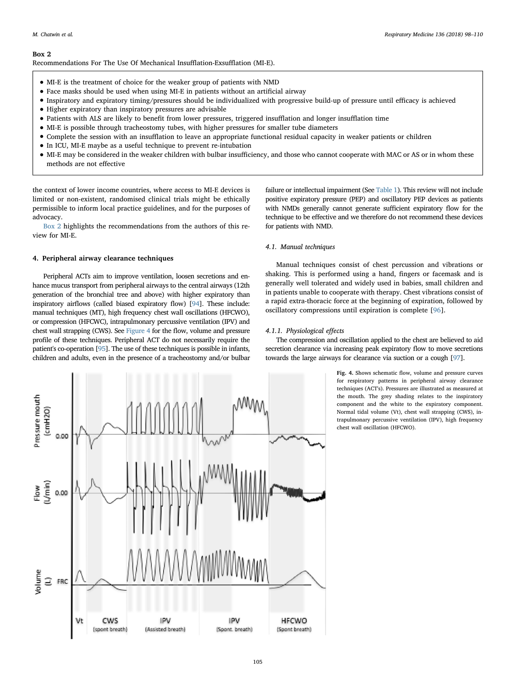## <span id="page-7-0"></span>Box 2

Recommendations For The Use Of Mechanical Insufflation-Exsufflation (MI-E).

- MI-E is the treatment of choice for the weaker group of patients with NMD
- Face masks should be used when using MI-E in patients without an artificial airway
- Inspiratory and expiratory timing/pressures should be individualized with progressive build-up of pressure until efficacy is achieved
- Higher expiratory than inspiratory pressures are advisable
- Patients with ALS are likely to benefit from lower pressures, triggered insufflation and longer insufflation time
- MI-E is possible through tracheostomy tubes, with higher pressures for smaller tube diameters
- Complete the session with an insufflation to leave an appropriate functional residual capacity in weaker patients or children
- In ICU, MI-E maybe as a useful technique to prevent re-intubation
- MI-E may be considered in the weaker children with bulbar insufficiency, and those who cannot cooperate with MAC or AS or in whom these methods are not effective

the context of lower income countries, where access to MI-E devices is limited or non-existent, randomised clinical trials might be ethically permissible to inform local practice guidelines, and for the purposes of advocacy.

[Box 2](#page-7-0) highlights the recommendations from the authors of this review for MI-E.

# 4. Peripheral airway clearance techniques

Peripheral ACTs aim to improve ventilation, loosen secretions and enhance mucus transport from peripheral airways to the central airways (12th generation of the bronchial tree and above) with higher expiratory than inspiratory airflows (called biased expiratory flow) [[94](#page-12-17)]. These include: manual techniques (MT), high frequency chest wall oscillations (HFCWO), or compression (HFCWC), intrapulmonary percussive ventilation (IPV) and chest wall strapping (CWS). See [Figure 4](#page-7-1) for the flow, volume and pressure profile of these techniques. Peripheral ACT do not necessarily require the patient's co-operation [\[95\]](#page-12-18). The use of these techniques is possible in infants, children and adults, even in the presence of a tracheostomy and/or bulbar

failure or intellectual impairment (See [Table 1\)](#page-8-0). This review will not include positive expiratory pressure (PEP) and oscillatory PEP devices as patients with NMDs generally cannot generate sufficient expiratory flow for the technique to be effective and we therefore do not recommend these devices for patients with NMD.

# 4.1. Manual techniques

Manual techniques consist of chest percussion and vibrations or shaking. This is performed using a hand, fingers or facemask and is generally well tolerated and widely used in babies, small children and in patients unable to cooperate with therapy. Chest vibrations consist of a rapid extra-thoracic force at the beginning of expiration, followed by oscillatory compressions until expiration is complete [\[96](#page-12-19)].

## 4.1.1. Physiological effects

The compression and oscillation applied to the chest are believed to aid secretion clearance via increasing peak expiratory flow to move secretions towards the large airways for clearance via suction or a cough [\[97\]](#page-12-20).

> Fig. 4. Shows schematic flow, volume and pressure curves for respiratory patterns in peripheral airway clearance techniques (ACT's). Pressures are illustrated as measured at the mouth. The grey shading relates to the inspiratory component and the white to the expiratory component. Normal tidal volume (Vt), chest wall strapping (CWS), intrapulmonary percussive ventilation (IPV), high frequency chest wall oscillation (HFCWO).

<span id="page-7-1"></span>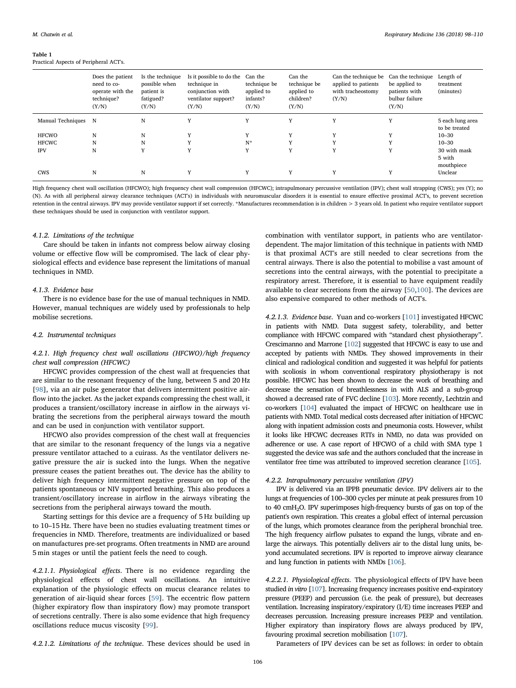#### <span id="page-8-0"></span>Table 1

Practical Aspects of Peripheral ACT's.

|                   | Does the patient<br>need to co-<br>operate with the<br>technique?<br>(Y/N) | Is the technique<br>possible when<br>patient is<br>fatigued?<br>(Y/N) | Is it possible to do the<br>technique in<br>conjunction with<br>ventilator support?<br>(Y/N) | Can the<br>technique be<br>applied to<br>infants?<br>(Y/N) | Can the<br>technique be<br>applied to<br>children?<br>(Y/N) | Can the technique be<br>applied to patients<br>with tracheostomy<br>(Y/N) | Can the technique<br>be applied to<br>patients with<br>bulbar failure<br>(Y/N) | Length of<br>treatment<br>(minutes)  |
|-------------------|----------------------------------------------------------------------------|-----------------------------------------------------------------------|----------------------------------------------------------------------------------------------|------------------------------------------------------------|-------------------------------------------------------------|---------------------------------------------------------------------------|--------------------------------------------------------------------------------|--------------------------------------|
| Manual Techniques | N                                                                          | N                                                                     | Y                                                                                            | Y                                                          | Y                                                           | Y                                                                         | Y                                                                              | 5 each lung area<br>to be treated    |
| <b>HFCWO</b>      | N                                                                          | N                                                                     |                                                                                              | Y                                                          | Y                                                           | Y                                                                         |                                                                                | $10 - 30$                            |
| <b>HFCWC</b>      | N                                                                          | N                                                                     | $\mathbf{v}$                                                                                 | $N^*$                                                      | $\mathbf{v}$                                                | Y                                                                         |                                                                                | $10 - 30$                            |
| <b>IPV</b>        | N                                                                          | Y                                                                     | $\mathbf{v}$                                                                                 | Y                                                          | $\mathbf{v}$                                                | Y                                                                         | v                                                                              | 30 with mask<br>5 with<br>mouthpiece |
| CWS               | N                                                                          | N                                                                     |                                                                                              | Y                                                          | $\mathbf{v}$                                                | $\mathbf{v}$                                                              |                                                                                | Unclear                              |

High frequency chest wall oscillation (HFCWO); high frequency chest wall compression (HFCWC); intrapulmonary percussive ventilation (IPV); chest wall strapping (CWS); yes (Y); no (N). As with all peripheral airway clearance techniques (ACT's) in individuals with neuromuscular disorders it is essential to ensure effective proximal ACT's, to prevent secretion retention in the central airways. IPV may provide ventilator support if set correctly. \*Manufactures recommendation is in children > 3 years old. In patient who require ventilator support these techniques should be used in conjunction with ventilator support.

#### 4.1.2. Limitations of the technique

Care should be taken in infants not compress below airway closing volume or effective flow will be compromised. The lack of clear physiological effects and evidence base represent the limitations of manual techniques in NMD.

## 4.1.3. Evidence base

There is no evidence base for the use of manual techniques in NMD. However, manual techniques are widely used by professionals to help mobilise secretions.

# 4.2. Instrumental techniques

# 4.2.1. High frequency chest wall oscillations (HFCWO)/high frequency chest wall compression (HFCWC)

HFCWC provides compression of the chest wall at frequencies that are similar to the resonant frequency of the lung, between 5 and 20 Hz [[98\]](#page-12-21), via an air pulse generator that delivers intermittent positive airflow into the jacket. As the jacket expands compressing the chest wall, it produces a transient/oscillatory increase in airflow in the airways vibrating the secretions from the peripheral airways toward the mouth and can be used in conjunction with ventilator support.

HFCWO also provides compression of the chest wall at frequencies that are similar to the resonant frequency of the lungs via a negative pressure ventilator attached to a cuirass. As the ventilator delivers negative pressure the air is sucked into the lungs. When the negative pressure ceases the patient breathes out. The device has the ability to deliver high frequency intermittent negative pressure on top of the patients spontaneous or NIV supported breathing. This also produces a transient/oscillatory increase in airflow in the airways vibrating the secretions from the peripheral airways toward the mouth.

Starting settings for this device are a frequency of 5 Hz building up to 10–15 Hz. There have been no studies evaluating treatment times or frequencies in NMD. Therefore, treatments are individualized or based on manufactures pre-set programs. Often treatments in NMD are around 5 min stages or until the patient feels the need to cough.

4.2.1.1. Physiological effects. There is no evidence regarding the physiological effects of chest wall oscillations. An intuitive explanation of the physiologic effects on mucus clearance relates to generation of air-liquid shear forces [[59\]](#page-11-39). The eccentric flow pattern (higher expiratory flow than inspiratory flow) may promote transport of secretions centrally. There is also some evidence that high frequency oscillations reduce mucus viscosity [[99\]](#page-12-22).

combination with ventilator support, in patients who are ventilatordependent. The major limitation of this technique in patients with NMD is that proximal ACT's are still needed to clear secretions from the central airways. There is also the potential to mobilise a vast amount of secretions into the central airways, with the potential to precipitate a respiratory arrest. Therefore, it is essential to have equipment readily available to clear secretions from the airway [\[50](#page-11-29)[,100\]](#page-12-23). The devices are also expensive compared to other methods of ACT's.

4.2.1.3. Evidence base. Yuan and co-workers [[101](#page-12-24)] investigated HFCWC in patients with NMD. Data suggest safety, tolerability, and better compliance with HFCWC compared with "standard chest physiotherapy". Crescimanno and Marrone [[102\]](#page-12-25) suggested that HFCWC is easy to use and accepted by patients with NMDs. They showed improvements in their clinical and radiological condition and suggested it was helpful for patients with scoliosis in whom conventional respiratory physiotherapy is not possible. HFCWC has been shown to decrease the work of breathing and decrease the sensation of breathlessness in with ALS and a sub-group showed a decreased rate of FVC decline [\[103](#page-12-26)]. More recently, Lechtzin and co-workers [\[104\]](#page-12-27) evaluated the impact of HFCWC on healthcare use in patients with NMD. Total medical costs decreased after initiation of HFCWC along with inpatient admission costs and pneumonia costs. However, whilst it looks like HFCWC decreases RTI's in NMD, no data was provided on adherence or use. A case report of HFCWO of a child with SMA type 1 suggested the device was safe and the authors concluded that the increase in ventilator free time was attributed to improved secretion clearance [[105](#page-12-28)].

## 4.2.2. Intrapulmonary percussive ventilation (IPV)

IPV is delivered via an IPPB pneumatic device. IPV delivers air to the lungs at frequencies of 100–300 cycles per minute at peak pressures from 10 to 40 cmH2O. IPV superimposes high-frequency bursts of gas on top of the patient's own respiration. This creates a global effect of internal percussion of the lungs, which promotes clearance from the peripheral bronchial tree. The high frequency airflow pulsates to expand the lungs, vibrate and enlarge the airways. This potentially delivers air to the distal lung units, beyond accumulated secretions. IPV is reported to improve airway clearance and lung function in patients with NMDs [[106](#page-12-29)].

4.2.2.1. Physiological effects. The physiological effects of IPV have been studied in vitro [\[107](#page-12-30)]. Increasing frequency increases positive end-expiratory pressure (PEEP) and percussion (i.e. the peak of pressure), but decreases ventilation. Increasing inspiratory/expiratory (I/E) time increases PEEP and decreases percussion. Increasing pressure increases PEEP and ventilation. Higher expiratory than inspiratory flows are always produced by IPV, favouring proximal secretion mobilisation [[107](#page-12-30)].

4.2.1.2. Limitations of the technique. These devices should be used in

Parameters of IPV devices can be set as follows: in order to obtain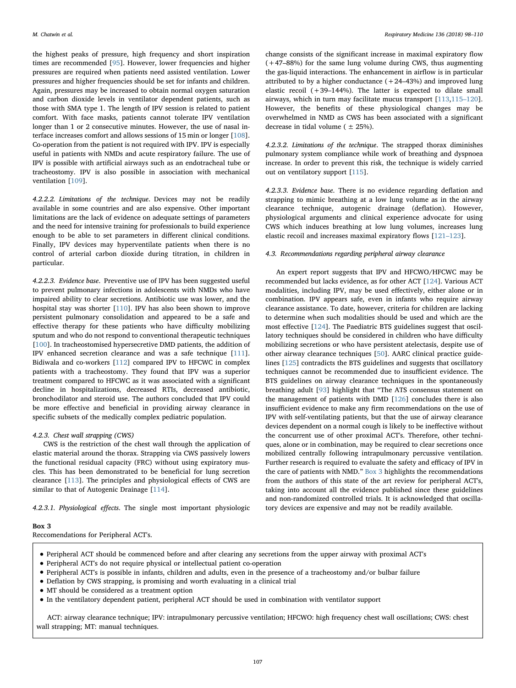the highest peaks of pressure, high frequency and short inspiration times are recommended [[95\]](#page-12-18). However, lower frequencies and higher pressures are required when patients need assisted ventilation. Lower pressures and higher frequencies should be set for infants and children. Again, pressures may be increased to obtain normal oxygen saturation and carbon dioxide levels in ventilator dependent patients, such as those with SMA type 1. The length of IPV session is related to patient comfort. With face masks, patients cannot tolerate IPV ventilation longer than 1 or 2 consecutive minutes. However, the use of nasal interface increases comfort and allows sessions of 15 min or longer [[108](#page-12-31)]. Co-operation from the patient is not required with IPV. IPV is especially useful in patients with NMDs and acute respiratory failure. The use of IPV is possible with artificial airways such as an endotracheal tube or tracheostomy. IPV is also possible in association with mechanical ventilation [[109](#page-12-32)].

4.2.2.2. Limitations of the technique. Devices may not be readily available in some countries and are also expensive. Other important limitations are the lack of evidence on adequate settings of parameters and the need for intensive training for professionals to build experience enough to be able to set parameters in different clinical conditions. Finally, IPV devices may hyperventilate patients when there is no control of arterial carbon dioxide during titration, in children in particular.

4.2.2.3. Evidence base. Preventive use of IPV has been suggested useful to prevent pulmonary infections in adolescents with NMDs who have impaired ability to clear secretions. Antibiotic use was lower, and the hospital stay was shorter [[110](#page-12-33)]. IPV has also been shown to improve persistent pulmonary consolidation and appeared to be a safe and effective therapy for these patients who have difficulty mobilizing sputum and who do not respond to conventional therapeutic techniques [[100](#page-12-23)]. In tracheostomised hypersecretive DMD patients, the addition of IPV enhanced secretion clearance and was a safe technique [[111](#page-12-34)]. Bidiwala and co-workers [[112\]](#page-12-35) compared IPV to HFCWC in complex patients with a tracheostomy. They found that IPV was a superior treatment compared to HFCWC as it was associated with a significant decline in hospitalizations, decreased RTIs, decreased antibiotic, bronchodilator and steroid use. The authors concluded that IPV could be more effective and beneficial in providing airway clearance in specific subsets of the medically complex pediatric population.

## 4.2.3. Chest wall strapping (CWS)

CWS is the restriction of the chest wall through the application of elastic material around the thorax. Strapping via CWS passively lowers the functional residual capacity (FRC) without using expiratory muscles. This has been demonstrated to be beneficial for lung secretion clearance [[113](#page-12-36)]. The principles and physiological effects of CWS are similar to that of Autogenic Drainage [[114](#page-12-37)].

4.2.3.1. Physiological effects. The single most important physiologic

## M. Chatwin et al. *Respiratory Medicine 136 (2018) 98–110*

change consists of the significant increase in maximal expiratory flow (+47–88%) for the same lung volume during CWS, thus augmenting the gas-liquid interactions. The enhancement in airflow is in particular attributed to by a higher conductance  $(+24-43%)$  and improved lung elastic recoil (+39–144%). The latter is expected to dilate small airways, which in turn may facilitate mucus transport [\[113](#page-12-36)[,115](#page-12-38)–120]. However, the benefits of these physiological changes may be overwhelmed in NMD as CWS has been associated with a significant decrease in tidal volume ( $\pm$  25%).

4.2.3.2. Limitations of the technique. The strapped thorax diminishes pulmonary system compliance while work of breathing and dyspnoea increase. In order to prevent this risk, the technique is widely carried out on ventilatory support [\[115\]](#page-12-38).

4.2.3.3. Evidence base. There is no evidence regarding deflation and strapping to mimic breathing at a low lung volume as in the airway clearance technique, autogenic drainage (deflation). However, physiological arguments and clinical experience advocate for using CWS which induces breathing at low lung volumes, increases lung elastic recoil and increases maximal expiratory flows [\[121](#page-12-39)–123].

## 4.3. Recommendations regarding peripheral airway clearance

An expert report suggests that IPV and HFCWO/HFCWC may be recommended but lacks evidence, as for other ACT [[124](#page-12-40)]. Various ACT modalities, including IPV, may be used effectively, either alone or in combination. IPV appears safe, even in infants who require airway clearance assistance. To date, however, criteria for children are lacking to determine when such modalities should be used and which are the most effective [\[124\]](#page-12-40). The Paediatric BTS guidelines suggest that oscillatory techniques should be considered in children who have difficulty mobilizing secretions or who have persistent atelectasis, despite use of other airway clearance techniques [\[50](#page-11-29)]. AARC clinical practice guidelines [[125](#page-12-41)] contradicts the BTS guidelines and suggests that oscillatory techniques cannot be recommended due to insufficient evidence. The BTS guidelines on airway clearance techniques in the spontaneously breathing adult [\[93](#page-12-16)] highlight that "The ATS consensus statement on the management of patients with DMD [\[126\]](#page-12-42) concludes there is also insufficient evidence to make any firm recommendations on the use of IPV with self-ventilating patients, but that the use of airway clearance devices dependent on a normal cough is likely to be ineffective without the concurrent use of other proximal ACT's. Therefore, other techniques, alone or in combination, may be required to clear secretions once mobilized centrally following intrapulmonary percussive ventilation. Further research is required to evaluate the safety and efficacy of IPV in the care of patients with NMD." [Box 3](#page-9-0) highlights the recommendations from the authors of this state of the art review for peripheral ACT's, taking into account all the evidence published since these guidelines and non-randomized controlled trials. It is acknowledged that oscillatory devices are expensive and may not be readily available.

## <span id="page-9-0"></span>Box 3

Reccomendations for Peripheral ACT's.

- Peripheral ACT should be commenced before and after clearing any secretions from the upper airway with proximal ACT's
- Peripheral ACT's do not require physical or intellectual patient co-operation
- Peripheral ACT's is possible in infants, children and adults, even in the presence of a tracheostomy and/or bulbar failure
- Deflation by CWS strapping, is promising and worth evaluating in a clinical trial
- MT should be considered as a treatment option
- In the ventilatory dependent patient, peripheral ACT should be used in combination with ventilator support

ACT: airway clearance technique; IPV: intrapulmonary percussive ventilation; HFCWO: high frequency chest wall oscillations; CWS: chest wall strapping; MT: manual techniques.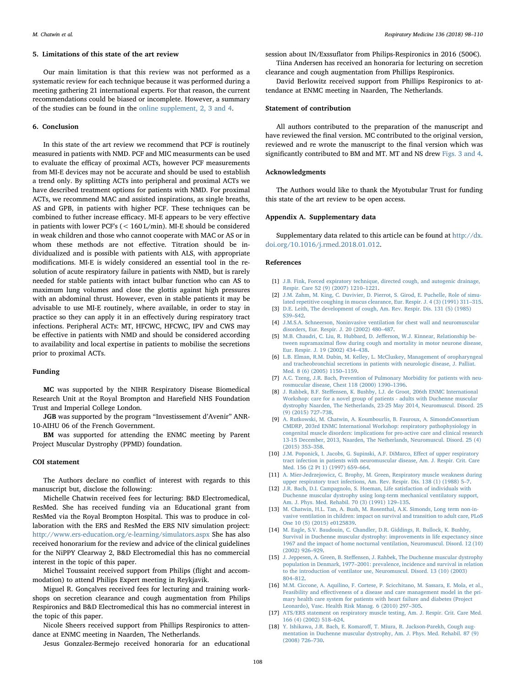#### 5. Limitations of this state of the art review

Our main limitation is that this review was not performed as a systematic review for each technique because it was performed during a meeting gathering 21 international experts. For that reason, the current recommendations could be biased or incomplete. However, a summary of the studies can be found in the online supplement, 2, 3 and 4.

## 6. Conclusion

In this state of the art review we recommend that PCF is routinely measured in patients with NMD. PCF and MIC measurments can be used to evaluate the efficay of proximal ACTs, however PCF measurements from MI-E devices may not be accurate and should be used to establish a trend only. By splitting ACTs into peripheral and proximal ACTs we have described treatment options for patients with NMD. For proximal ACTs, we recommend MAC and assisted inspirations, as single breaths, AS and GPB, in patients with higher PCF. These techniques can be combined to futher increase efficacy. MI-E appears to be very effective in patients with lower PCF's (< 160 L/min). MI-E should be considered in weak children and those who cannot cooperate with MAC or AS or in whom these methods are not effective. Titration should be individualized and is possible with patients with ALS, with appropriate modifications. MI-E is widely considered an essential tool in the resolution of acute respiratory failure in patients with NMD, but is rarely needed for stable patients with intact bulbar function who can AS to maximum lung volumes and close the glottis against high pressures with an abdominal thrust. However, even in stable patients it may be advisable to use MI-E routinely, where available, in order to stay in practice so they can apply it in an effectively during respiratory tract infections. Peripheral ACTs: MT, HFCWC, HFCWC, IPV and CWS may be effective in patients with NMD and should be considered according to availability and local expertise in patients to mobilise the secretions prior to proximal ACTs.

## Funding

MC was supported by the NIHR Respiratory Disease Biomedical Research Unit at the Royal Brompton and Harefield NHS Foundation Trust and Imperial College London.

JGB was supported by the program "Investissement d'Avenir" ANR-10-AIHU 06 of the French Government.

BM was supported for attending the ENMC meeting by Parent Project Muscular Dystrophy (PPMD) foundation.

# COI statement

The Authors declare no conflict of interest with regards to this manuscript but, disclose the following:

Michelle Chatwin received fees for lecturing: B&D Electromedical, ResMed. She has received funding via an Educational grant from ResMed via the Royal Brompton Hospital. This was to produce in collaboration with the ERS and ResMed the ERS NIV simulation project: <http://www.ers-education.org/e-learning/simulators.aspx> She has also received honorarium for the review and advice of the clinical guidelines for the NiPPY Clearway 2, B&D Electromedial this has no commercial interest in the topic of this paper.

Michel Toussaint received support from Philips (flight and accommodation) to attend Philips Expert meeting in Reykjavik.

Miguel R. Gonçalves received fees for lecturing and training workshops on secretion clearance and cough augmentation from Philips Respironics and B&D Electromedical this has no commercial interest in the topic of this paper.

Nicole Sheers received support from Phillips Respironics to attendance at ENMC meeting in Naarden, The Netherlands.

Jesus Gonzalez-Bermejo received honoraria for an educational

session about IN/Exssuflator from Philips-Respironics in 2016 (500€).

Tiina Andersen has received an honoraria for lecturing on secretion clearance and cough augmentation from Phillips Respironics.

David Berlowitz received support from Phillips Respironics to attendance at ENMC meeting in Naarden, The Netherlands.

## Statement of contribution

All authors contributed to the preparation of the manuscript and have reviewed the final version. MC contributed to the original version, reviewed and re wrote the manuscript to the final version which was significantly contributed to BM and MT. MT and NS drew [Figs. 3 and 4](#page-3-1).

## Acknowledgments

The Authors would like to thank the Myotubular Trust for funding this state of the art review to be open access.

#### Appendix A. Supplementary data

Supplementary data related to this article can be found at  $\frac{http://dx.}{$  $\frac{http://dx.}{$  $\frac{http://dx.}{$ [doi.org/10.1016/j.rmed.2018.01.012.](http://dx.doi.org/10.1016/j.rmed.2018.01.012)

#### References

- <span id="page-10-0"></span>[1] [J.B. Fink, Forced expiratory technique, directed cough, and autogenic drainage,](http://refhub.elsevier.com/S0954-6111(18)30020-9/sref1) [Respir. Care 52 \(9\) \(2007\) 1210](http://refhub.elsevier.com/S0954-6111(18)30020-9/sref1)–1221.
- <span id="page-10-1"></span>[2] [J.M. Zahm, M. King, C. Duvivier, D. Pierrot, S. Girod, E. Puchelle, Role of simu](http://refhub.elsevier.com/S0954-6111(18)30020-9/sref2)[lated repetitive coughing in mucus clearance, Eur. Respir. J. 4 \(3\) \(1991\) 311](http://refhub.elsevier.com/S0954-6111(18)30020-9/sref2)–315.
- <span id="page-10-2"></span>[3] [D.E. Leith, The development of cough, Am. Rev. Respir. Dis. 131 \(5\) \(1985\)](http://refhub.elsevier.com/S0954-6111(18)30020-9/sref3) S39–[S42.](http://refhub.elsevier.com/S0954-6111(18)30020-9/sref3)
- <span id="page-10-3"></span>[4] [J.M.S.A. Schneerson, Noninvasive ventilation for chest wall and neuromuscular](http://refhub.elsevier.com/S0954-6111(18)30020-9/sref4) [disorders, Eur. Respir. J. 20 \(2002\) 480](http://refhub.elsevier.com/S0954-6111(18)30020-9/sref4)–487.
- <span id="page-10-4"></span>[5] [M.B. Chaudri, C. Liu, R. Hubbard, D. Je](http://refhub.elsevier.com/S0954-6111(18)30020-9/sref5)fferson, W.J. Kinnear, Relationship between supramaximal fl[ow during cough and mortality in motor neurone disease,](http://refhub.elsevier.com/S0954-6111(18)30020-9/sref5) [Eur. Respir. J. 19 \(2002\) 434](http://refhub.elsevier.com/S0954-6111(18)30020-9/sref5)–438.
- <span id="page-10-5"></span>[6] [L.B. Elman, R.M. Dubin, M. Kelley, L. McCluskey, Management of oropharyngeal](http://refhub.elsevier.com/S0954-6111(18)30020-9/sref6) [and tracheobronchial secretions in patients with neurologic disease, J. Palliat.](http://refhub.elsevier.com/S0954-6111(18)30020-9/sref6) [Med. 8 \(6\) \(2005\) 1150](http://refhub.elsevier.com/S0954-6111(18)30020-9/sref6)–1159.
- <span id="page-10-6"></span>[7] [A.C. Tzeng, J.R. Bach, Prevention of Pulmonary Morbidity for patients with neu](http://refhub.elsevier.com/S0954-6111(18)30020-9/sref7)[rosmucular disease, Chest 118 \(2000\) 1390](http://refhub.elsevier.com/S0954-6111(18)30020-9/sref7)–1396.
- J. Rahbek, B.F. Steff[ensen, K. Bushby, I.J. de Groot, 206th ENMC International](http://refhub.elsevier.com/S0954-6111(18)30020-9/sref8) [Workshop: care for a novel group of patients - adults with Duchenne muscular](http://refhub.elsevier.com/S0954-6111(18)30020-9/sref8) [dystrophy Naarden, The Netherlands, 23-25 May 2014, Neuromuscul. Disord. 25](http://refhub.elsevier.com/S0954-6111(18)30020-9/sref8) [\(9\) \(2015\) 727](http://refhub.elsevier.com/S0954-6111(18)30020-9/sref8)–738.
- [9] [A. Rutkowski, M. Chatwin, A. Koumbourlis, B. Fauroux, A. SimondsConsortium](http://refhub.elsevier.com/S0954-6111(18)30020-9/sref9) [CMDRP, 203rd ENMC International Workshop: respiratory pathophysiology in](http://refhub.elsevier.com/S0954-6111(18)30020-9/sref9) [congenital muscle disorders: implications for pro-active care and clinical research](http://refhub.elsevier.com/S0954-6111(18)30020-9/sref9) [13-15 December, 2013, Naarden, The Netherlands, Neuromuscul. Disord. 25 \(4\)](http://refhub.elsevier.com/S0954-6111(18)30020-9/sref9) [\(2015\) 353](http://refhub.elsevier.com/S0954-6111(18)30020-9/sref9)–358.
- <span id="page-10-7"></span>[10] [J.M. Poponick, I. Jacobs, G. Supinski, A.F. DiMarco, E](http://refhub.elsevier.com/S0954-6111(18)30020-9/sref10)ffect of upper respiratory [tract infection in patients with neuromuscular disease, Am. J. Respir. Crit. Care](http://refhub.elsevier.com/S0954-6111(18)30020-9/sref10) [Med. 156 \(2 Pt 1\) \(1997\) 659](http://refhub.elsevier.com/S0954-6111(18)30020-9/sref10)–664.
- <span id="page-10-8"></span>[11] [A. Mier-Jedrzejowicz, C. Brophy, M. Green, Respiratory muscle weakness during](http://refhub.elsevier.com/S0954-6111(18)30020-9/sref11) [upper respiratory tract infections, Am. Rev. Respir. Dis. 138 \(1\) \(1988\) 5](http://refhub.elsevier.com/S0954-6111(18)30020-9/sref11)–7.
- <span id="page-10-9"></span>[12] [J.R. Bach, D.I. Campagnolo, S. Hoeman, Life satisfaction of individuals with](http://refhub.elsevier.com/S0954-6111(18)30020-9/sref12) [Duchenne muscular dystrophy using long-term mechanical ventilatory support,](http://refhub.elsevier.com/S0954-6111(18)30020-9/sref12) [Am. J. Phys. Med. Rehabil. 70 \(3\) \(1991\) 129](http://refhub.elsevier.com/S0954-6111(18)30020-9/sref12)–135.
- <span id="page-10-10"></span>[13] [M. Chatwin, H.L. Tan, A. Bush, M. Rosenthal, A.K. Simonds, Long term non-in](http://refhub.elsevier.com/S0954-6111(18)30020-9/sref13)[vasive ventilation in children: impact on survival and transition to adult care, PLoS](http://refhub.elsevier.com/S0954-6111(18)30020-9/sref13) [One 10 \(5\) \(2015\) e0125839.](http://refhub.elsevier.com/S0954-6111(18)30020-9/sref13)
- [14] [M. Eagle, S.V. Baudouin, C. Chandler, D.R. Giddings, R. Bullock, K. Bushby,](http://refhub.elsevier.com/S0954-6111(18)30020-9/sref14) [Survival in Duchenne muscular dystrophy: improvements in life expectancy since](http://refhub.elsevier.com/S0954-6111(18)30020-9/sref14) [1967 and the impact of home nocturnal ventilation, Neuromuscul. Disord. 12 \(10\)](http://refhub.elsevier.com/S0954-6111(18)30020-9/sref14) [\(2002\) 926](http://refhub.elsevier.com/S0954-6111(18)30020-9/sref14)–929.
- [15] J. Jeppesen, A. Green, B. Steffensen, [J. Rahbek, The Duchenne muscular dystrophy](http://refhub.elsevier.com/S0954-6111(18)30020-9/sref15) population in Denmark, 1977–[2001: prevalence, incidence and survival in relation](http://refhub.elsevier.com/S0954-6111(18)30020-9/sref15) [to the introduction of ventilator use, Neuromuscul. Disord. 13 \(10\) \(2003\)](http://refhub.elsevier.com/S0954-6111(18)30020-9/sref15) 804–[812.](http://refhub.elsevier.com/S0954-6111(18)30020-9/sref15)
- <span id="page-10-11"></span>[16] [M.M. Ciccone, A. Aquilino, F. Cortese, P. Scicchitano, M. Sassara, E. Mola, et al.,](http://refhub.elsevier.com/S0954-6111(18)30020-9/sref16) Feasibility and eff[ectiveness of a disease and care management model in the pri](http://refhub.elsevier.com/S0954-6111(18)30020-9/sref16)[mary health care system for patients with heart failure and diabetes \(Project](http://refhub.elsevier.com/S0954-6111(18)30020-9/sref16) [Leonardo\), Vasc. Health Risk Manag. 6 \(2010\) 297](http://refhub.elsevier.com/S0954-6111(18)30020-9/sref16)–305.
- <span id="page-10-12"></span>[17] [ATS/ERS statement on respiratory muscle testing, Am. J. Respir. Crit. Care Med.](http://refhub.elsevier.com/S0954-6111(18)30020-9/sref17) [166 \(4\) \(2002\) 518](http://refhub.elsevier.com/S0954-6111(18)30020-9/sref17)–624.
- <span id="page-10-13"></span>[18] Y. Ishikawa, J.R. Bach, E. Komaroff[, T. Miura, R. Jackson-Parekh, Cough aug](http://refhub.elsevier.com/S0954-6111(18)30020-9/sref18)[mentation in Duchenne muscular dystrophy, Am. J. Phys. Med. Rehabil. 87 \(9\)](http://refhub.elsevier.com/S0954-6111(18)30020-9/sref18) [\(2008\) 726](http://refhub.elsevier.com/S0954-6111(18)30020-9/sref18)–730.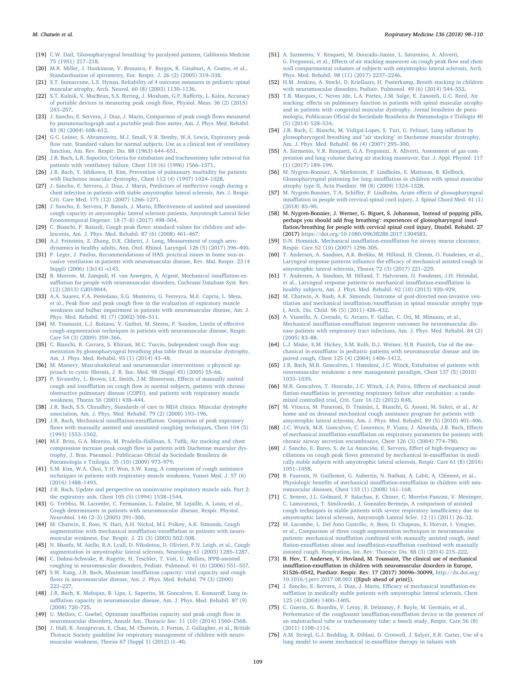- <span id="page-11-0"></span>[19] [C.W. Dail, 'Glossopharyngeal breathing' by paralysed patients, California Medcine](http://refhub.elsevier.com/S0954-6111(18)30020-9/sref19) [75 \(1951\) 217](http://refhub.elsevier.com/S0954-6111(18)30020-9/sref19)–218.
- <span id="page-11-1"></span>[20] [M.R. Miller, J. Hankinson, V. Brusasco, F. Burgos, R. Casaburi, A. Coates, et al.,](http://refhub.elsevier.com/S0954-6111(18)30020-9/sref20) [Standardisation of spirometry, Eur. Respir. J. 26 \(2\) \(2005\) 319](http://refhub.elsevier.com/S0954-6111(18)30020-9/sref20)–338.
- <span id="page-11-2"></span>[21] [S.T. Iannaccone, L.S. Hynan, Reliability of 4 outcome measures in pediatric spinal](http://refhub.elsevier.com/S0954-6111(18)30020-9/sref21) [muscular atrophy, Arch. Neurol. 60 \(8\) \(2003\) 1130](http://refhub.elsevier.com/S0954-6111(18)30020-9/sref21)–1136.
- <span id="page-11-3"></span>[22] [S.T. Kulnik, V. MacBean, S.S. Birring, J. Moxham, G.F. Ra](http://refhub.elsevier.com/S0954-6111(18)30020-9/sref22)fferty, L. Kalra, Accuracy [of portable devices in measuring peak cough](http://refhub.elsevier.com/S0954-6111(18)30020-9/sref22) flow, Physiol. Meas. 36 (2) (2015) 243–[257.](http://refhub.elsevier.com/S0954-6111(18)30020-9/sref22)
- <span id="page-11-4"></span>[23] [J. Sancho, E. Servera, J. Diaz, J. Marin, Comparison of peak cough](http://refhub.elsevier.com/S0954-6111(18)30020-9/sref23) flows measured [by pneumotachograph and a portable peak](http://refhub.elsevier.com/S0954-6111(18)30020-9/sref23) flow meter, Am. J. Phys. Med. Rehabil. [83 \(8\) \(2004\) 608](http://refhub.elsevier.com/S0954-6111(18)30020-9/sref23)–612.
- <span id="page-11-5"></span>[24] [G.C. Leiner, S. Abramowitz, M.J. Small, V.B. Stenby, W.A. Lewis, Expiratory peak](http://refhub.elsevier.com/S0954-6111(18)30020-9/sref24) fl[ow rate. Standard values for normal subjects. Use as a clinical test of ventilatory](http://refhub.elsevier.com/S0954-6111(18)30020-9/sref24) [function, Am. Rev. Respir. Dis. 88 \(1963\) 644](http://refhub.elsevier.com/S0954-6111(18)30020-9/sref24)–651.
- <span id="page-11-6"></span>[25] [J.R. Bach, L.R. Saporito, Criteria for extubation and tracheostomy tube removal for](http://refhub.elsevier.com/S0954-6111(18)30020-9/sref25) [patients with ventilatory failure, Chest 110 \(6\) \(1996\) 1566](http://refhub.elsevier.com/S0954-6111(18)30020-9/sref25)–1571.
- <span id="page-11-7"></span>[26] [J.R. Bach, Y. Ishikawa, H. Kim, Prevention of pulmonary morbidity for patients](http://refhub.elsevier.com/S0954-6111(18)30020-9/sref26) [with Duchenne muscular dystrophy, Chest 112 \(4\) \(1997\) 1024](http://refhub.elsevier.com/S0954-6111(18)30020-9/sref26)–1028.
- <span id="page-11-8"></span>[27] [J. Sancho, E. Servera, J. Diaz, J. Marin, Predictors of ine](http://refhub.elsevier.com/S0954-6111(18)30020-9/sref27)ffective cough during a [chest infection in patients with stable amyotrophic lateral sclerosis, Am. J. Respir.](http://refhub.elsevier.com/S0954-6111(18)30020-9/sref27) [Crit. Care Med. 175 \(12\) \(2007\) 1266](http://refhub.elsevier.com/S0954-6111(18)30020-9/sref27)–1271.
- <span id="page-11-9"></span>[28] [J. Sancho, E. Servera, P. Banuls, J. Marin, E](http://refhub.elsevier.com/S0954-6111(18)30020-9/sref28)ffectiveness of assisted and unassisted [cough capacity in amyotrophic lateral sclerosis patients, Amyotroph Lateral Scler](http://refhub.elsevier.com/S0954-6111(18)30020-9/sref28) [Frontotemporal Degener. 18 \(7](http://refhub.elsevier.com/S0954-6111(18)30020-9/sref28)–8) (2017) 498–504.
- <span id="page-11-10"></span>[29] C. Bianchi, P. Baiardi, Cough peak fl[ows: standard values for children and ado](http://refhub.elsevier.com/S0954-6111(18)30020-9/sref29)[lescents, Am. J. Phys. Med. Rehabil. 87 \(6\) \(2008\) 461](http://refhub.elsevier.com/S0954-6111(18)30020-9/sref29)–467.
- <span id="page-11-11"></span>[30] [A.J. Feinstein, Z. Zhang, D.K. Chhetri, J. Long, Measurement of cough aero](http://refhub.elsevier.com/S0954-6111(18)30020-9/sref30)[dynamics in healthy adults, Ann. Otol. Rhinol. Laryngol. 126 \(5\) \(2017\) 396](http://refhub.elsevier.com/S0954-6111(18)30020-9/sref30)–400.
- <span id="page-11-12"></span>[31] [P. Leger, J. Paulus, Recommendations of HAS: practical issues in home non-in](http://refhub.elsevier.com/S0954-6111(18)30020-9/sref31)[vasive ventilation in patients with neuromuscular disease, Rev. Mal. Respir. 23 \(4](http://refhub.elsevier.com/S0954-6111(18)30020-9/sref31) [Suppl\) \(2006\) 13s141](http://refhub.elsevier.com/S0954-6111(18)30020-9/sref31)–s143.
- <span id="page-11-13"></span>[32] [B. Morrow, M. Zampoli, H. van Aswegen, A. Argent, Mechanical insu](http://refhub.elsevier.com/S0954-6111(18)30020-9/sref32)fflation-exsufflation [for people with neuromuscular disorders, Cochrane Database Syst. Rev.](http://refhub.elsevier.com/S0954-6111(18)30020-9/sref32) [\(12\) \(2013\) Cd010044.](http://refhub.elsevier.com/S0954-6111(18)30020-9/sref32)
- <span id="page-11-14"></span>[33] [A.A. Suarez, F.A. Pessolano, S.G. Monteiro, G. Ferreyra, M.E. Capria, L. Mesa,](http://refhub.elsevier.com/S0954-6111(18)30020-9/sref33) et al., Peak flow and peak cough fl[ow in the evaluation of expiratory muscle](http://refhub.elsevier.com/S0954-6111(18)30020-9/sref33) [weakness and bulbar impairment in patients with neuromuscular disease, Am. J.](http://refhub.elsevier.com/S0954-6111(18)30020-9/sref33) [Phys. Med. Rehabil. 81 \(7\) \(2002\) 506](http://refhub.elsevier.com/S0954-6111(18)30020-9/sref33)–511.
- <span id="page-11-15"></span>[34] [M. Toussaint, L.J. Boitano, V. Gathot, M. Steens, P. Soudon, Limits of e](http://refhub.elsevier.com/S0954-6111(18)30020-9/sref34)ffective [cough-augmentation techniques in patients with neuromuscular disease, Respir.](http://refhub.elsevier.com/S0954-6111(18)30020-9/sref34) [Care 54 \(3\) \(2009\) 359](http://refhub.elsevier.com/S0954-6111(18)30020-9/sref34)–366.
- <span id="page-11-16"></span>[35] [C. Bianchi, R. Carrara, S. Khirani, M.C. Tuccio, Independent cough](http://refhub.elsevier.com/S0954-6111(18)30020-9/sref35) flow aug[mentation by glossopharyngeal breathing plus table thrust in muscular dystrophy,](http://refhub.elsevier.com/S0954-6111(18)30020-9/sref35) [Am. J. Phys. Med. Rehabil. 93 \(1\) \(2014\) 43](http://refhub.elsevier.com/S0954-6111(18)30020-9/sref35)–48.
- <span id="page-11-17"></span>[36] [M. Massery, Musculoskeletal and neuromuscular interventions: a physical ap](http://refhub.elsevier.com/S0954-6111(18)30020-9/sref36)proach to cystic fi[brosis, J. R. Soc. Med. 98 \(Suppl 45\) \(2005\) 55](http://refhub.elsevier.com/S0954-6111(18)30020-9/sref36)–66.
- <span id="page-11-18"></span>[37] [P. Sivasothy, L. Brown, I.E. Smith, J.M. Shneerson, E](http://refhub.elsevier.com/S0954-6111(18)30020-9/sref37)ffects of manually assited cough and insufflation on cough fl[ow in normal subjects, patients with chronic](http://refhub.elsevier.com/S0954-6111(18)30020-9/sref37) [obstructive pulmonary disease \(COPD\), and patients with respiratory muscle](http://refhub.elsevier.com/S0954-6111(18)30020-9/sref37) [weakness, Thorax 56 \(2001\) 438](http://refhub.elsevier.com/S0954-6111(18)30020-9/sref37)–444.
- <span id="page-11-19"></span>[38] [J.R. Bach, S.S. Chaudhry, Standards of care in MDA clinics. Muscular dystrophy](http://refhub.elsevier.com/S0954-6111(18)30020-9/sref38) [association, Am. J. Phys. Med. Rehabil. 79 \(2\) \(2000\) 193](http://refhub.elsevier.com/S0954-6111(18)30020-9/sref38)–196.
- <span id="page-11-20"></span>[39] J.R. Bach, Mechanical insufflation-exsuffl[ation. Comparison of peak expiratory](http://refhub.elsevier.com/S0954-6111(18)30020-9/sref39) fl[ows with manually assisted and unassisted coughing techniques, Chest 104 \(5\)](http://refhub.elsevier.com/S0954-6111(18)30020-9/sref39) [\(1993\) 1553](http://refhub.elsevier.com/S0954-6111(18)30020-9/sref39)–1562.
- <span id="page-11-21"></span>[40] [M.F. Brito, G.A. Moreira, M. Pradella-Hallinan, S. Tu](http://refhub.elsevier.com/S0954-6111(18)30020-9/sref40)fik, Air stacking and chest compression increase peak cough fl[ow in patients with Duchenne muscular dys](http://refhub.elsevier.com/S0954-6111(18)30020-9/sref40)[trophy, J. Bras. Pneumol.: Publicacao O](http://refhub.elsevier.com/S0954-6111(18)30020-9/sref40)ficial da Sociedade Brasileira de [Pneumologia e Tisilogia. 35 \(10\) \(2009\) 973](http://refhub.elsevier.com/S0954-6111(18)30020-9/sref40)–979.
- <span id="page-11-38"></span>[41] [S.M. Kim, W.A. Choi, Y.H. Won, S.W. Kang, A comparison of cough assistance](http://refhub.elsevier.com/S0954-6111(18)30020-9/sref41) [techniques in patients with respiratory muscle weakness, Yonsei Med. J. 57 \(6\)](http://refhub.elsevier.com/S0954-6111(18)30020-9/sref41) [\(2016\) 1488](http://refhub.elsevier.com/S0954-6111(18)30020-9/sref41)–1493.
- <span id="page-11-53"></span>[42] [J.R. Bach, Update and perspective on noninvasive respiratory muscle aids. Part 2:](http://refhub.elsevier.com/S0954-6111(18)30020-9/sref42) [the expiratory aids, Chest 105 \(5\) \(1994\) 1538](http://refhub.elsevier.com/S0954-6111(18)30020-9/sref42)–1544.
- <span id="page-11-27"></span>[43] G. [Trebbia, M. Lacombe, C. Fermanian, L. Falaize, M. Lejaille, A. Louis, et al.,](http://refhub.elsevier.com/S0954-6111(18)30020-9/sref43) [Cough determinants in patients with neuromuscular disease, Respir. Physiol.](http://refhub.elsevier.com/S0954-6111(18)30020-9/sref43) [Neurobiol. 146 \(2](http://refhub.elsevier.com/S0954-6111(18)30020-9/sref43)–3) (2005) 291–300.
- <span id="page-11-22"></span>[44] [M. Chatwin, E. Ross, N. Hart, A.H. Nickol, M.I. Polkey, A.K. Simonds, Cough](http://refhub.elsevier.com/S0954-6111(18)30020-9/sref44) [augmentation with mechanical insu](http://refhub.elsevier.com/S0954-6111(18)30020-9/sref44)fflation/exsufflation in patients with neuro[muscular weakness, Eur. Respir. J. 21 \(3\) \(2003\) 502](http://refhub.elsevier.com/S0954-6111(18)30020-9/sref44)–508.
- <span id="page-11-23"></span>[45] [N. Mustfa, M. Aiello, R.A. Lyall, D. Nikoletou, D. Olivieri, P.N. Leigh, et al., Cough](http://refhub.elsevier.com/S0954-6111(18)30020-9/sref45) [augmentation in amyotrophic lateral sclerosis, Neurology 61 \(2003\) 1285](http://refhub.elsevier.com/S0954-6111(18)30020-9/sref45)–1287.
- <span id="page-11-25"></span><span id="page-11-24"></span>[46] [C. Dohna-Schwake, R. Ragette, H. Teschler, T. Voit, U. Mellies, IPPB-assisted](http://refhub.elsevier.com/S0954-6111(18)30020-9/sref46) [coughing in neuromuscular disorders, Pediatr. Pulmonol. 41 \(6\) \(2006\) 551](http://refhub.elsevier.com/S0954-6111(18)30020-9/sref46)–557. [47] S.W. Kang, J.R. Bach, Maximum insuffl[ation capacity: vital capacity and cough](http://refhub.elsevier.com/S0954-6111(18)30020-9/sref47) fl[ows in neuromuscular disease, Am. J. Phys. Med. Rehabil. 79 \(3\) \(2000\)](http://refhub.elsevier.com/S0954-6111(18)30020-9/sref47)
- <span id="page-11-26"></span>222–[227.](http://refhub.elsevier.com/S0954-6111(18)30020-9/sref47) [48] [J.R. Bach, K. Mahajan, B. Lipa, L. Saporito, M. Goncalves, E. Komaro](http://refhub.elsevier.com/S0954-6111(18)30020-9/sref48)ff, Lung insuffl[ation capacity in neuromuscular disease, Am. J. Phys. Med. Rehabil. 87 \(9\)](http://refhub.elsevier.com/S0954-6111(18)30020-9/sref48) [\(2008\) 720](http://refhub.elsevier.com/S0954-6111(18)30020-9/sref48)–725.
- <span id="page-11-28"></span>[49] [U. Mellies, C. Goebel, Optimum insu](http://refhub.elsevier.com/S0954-6111(18)30020-9/sref49)fflation capacity and peak cough flow in [neuromuscular disorders, Annals Am. Thoracic Soc. 11 \(10\) \(2014\) 1560](http://refhub.elsevier.com/S0954-6111(18)30020-9/sref49)–1568.
- <span id="page-11-29"></span>[50] [J. Hull, R. Aniapravan, E. Chan, M. Chatwin, J. Forton, J. Gallagher, et al., British](http://refhub.elsevier.com/S0954-6111(18)30020-9/sref50) [Thoracic Society guideline for respiratory management of children with neuro](http://refhub.elsevier.com/S0954-6111(18)30020-9/sref50)[muscular weakness, Thorax 67 \(Suppl 1\) \(2012\) i1](http://refhub.elsevier.com/S0954-6111(18)30020-9/sref50)–40.
- <span id="page-11-30"></span>[51] [A. Sarmento, V. Resqueti, M. Dourado-Junior, L. Saturnino, A. Aliverti,](http://refhub.elsevier.com/S0954-6111(18)30020-9/sref51) G. Fregonezi, et al., Eff[ects of air stacking maneuver on cough peak](http://refhub.elsevier.com/S0954-6111(18)30020-9/sref51) flow and chest [wall compartmental volumes of subjects with amyotrophic lateral sclerosis, Arch.](http://refhub.elsevier.com/S0954-6111(18)30020-9/sref51) [Phys. Med. Rehabil. 98 \(11\) \(2017\) 2237](http://refhub.elsevier.com/S0954-6111(18)30020-9/sref51)–2246.
- <span id="page-11-31"></span>[52] [H.M. Jenkins, A. Stocki, D. Kriellaars, H. Pasterkamp, Breath stacking in children](http://refhub.elsevier.com/S0954-6111(18)30020-9/sref52) [with neuromuscular disorders, Pediatr. Pulmonol. 49 \(6\) \(2014\) 544](http://refhub.elsevier.com/S0954-6111(18)30020-9/sref52)–553.
- <span id="page-11-32"></span>[53] [T.B. Marques, C. Neves Jde, L.A. Portes, J.M. Salge, E. Zanoteli, U.C. Reed, Air](http://refhub.elsevier.com/S0954-6111(18)30020-9/sref53) stacking: eff[ects on pulmonary function in patients with spinal muscular atrophy](http://refhub.elsevier.com/S0954-6111(18)30020-9/sref53) [and in patients with congenital muscular dystrophy. Jornal brasileiro de pneu](http://refhub.elsevier.com/S0954-6111(18)30020-9/sref53)mologia, Publicacao Ofi[cial da Sociedade Brasileira de Pneumologia e Tisilogia 40](http://refhub.elsevier.com/S0954-6111(18)30020-9/sref53) [\(5\) \(2014\) 528](http://refhub.elsevier.com/S0954-6111(18)30020-9/sref53)–534.
- <span id="page-11-33"></span>[54] J.R. [Bach, C. Bianchi, M. Vidigal-Lopes, S. Turi, G. Felisari, Lung in](http://refhub.elsevier.com/S0954-6111(18)30020-9/sref54)flation by [glossopharyngeal breathing and "air stacking" in Duchenne muscular dystrophy,](http://refhub.elsevier.com/S0954-6111(18)30020-9/sref54) [Am. J. Phys. Med. Rehabil. 86 \(4\) \(2007\) 295](http://refhub.elsevier.com/S0954-6111(18)30020-9/sref54)–300.
- <span id="page-11-34"></span>[55] [A. Sarmento, V.R. Resqueti, G.A. Fregonezi, A. Aliverti, Assessment of gas com](http://refhub.elsevier.com/S0954-6111(18)30020-9/sref55)[pression and lung volume during air stacking maneuver, Eur. J. Appl. Physiol. 117](http://refhub.elsevier.com/S0954-6111(18)30020-9/sref55) [\(1\) \(2017\) 189](http://refhub.elsevier.com/S0954-6111(18)30020-9/sref55)–199.
- <span id="page-11-35"></span>[56] [M. Nygren-Bonnier, A. Markstrom, P. Lindholm, E. Mattsson, B. Klefbeck,](http://refhub.elsevier.com/S0954-6111(18)30020-9/sref56) [Glossopharyngeal pistoning for lung insu](http://refhub.elsevier.com/S0954-6111(18)30020-9/sref56)fflation in children with spinal muscular [atrophy type II, Acta Paediatr. 98 \(8\) \(2009\) 1324](http://refhub.elsevier.com/S0954-6111(18)30020-9/sref56)–1328.
- <span id="page-11-36"></span>[57] [M. Nygren-Bonnier, T.A. Schi](http://refhub.elsevier.com/S0954-6111(18)30020-9/sref57)ffer, P. Lindholm, Acute effects of glossopharyngeal insuffl[ation in people with cervical spinal cord injury, J. Spinal Chord Med. 41 \(1\)](http://refhub.elsevier.com/S0954-6111(18)30020-9/sref57) [\(2018\) 85](http://refhub.elsevier.com/S0954-6111(18)30020-9/sref57)–90.
- <span id="page-11-37"></span>[58] M. Nygren-Bonnier, J. Werner, G. Biguet, S. Johansson, 'Instead of popping pills, perhaps you should add frog breathing': experiences of glossopharyngeal insufflation/breathing for people with cervical spinal cord injury, Disabil. Rehabil. 27 (2017) [https://doi.org/10.1080/09638288.2017.1304583.](https://doi.org/10.1080/09638288.2017.1304583)
- <span id="page-11-39"></span>[59] D.N. Homnick, Mechanical insufflation-exsuffl[ation for airway mucus clearance,](http://refhub.elsevier.com/S0954-6111(18)30020-9/sref59) [Respir. Care 52 \(10\) \(2007\) 1296-305.](http://refhub.elsevier.com/S0954-6111(18)30020-9/sref59)
- <span id="page-11-40"></span>[60] [T. Andersen, A. Sandnes, A.K. Brekka, M. Hilland, H. Clemm, O. Fondenes, et al.,](http://refhub.elsevier.com/S0954-6111(18)30020-9/sref60) Laryngeal response patterns influence the effi[cacy of mechanical assisted cough in](http://refhub.elsevier.com/S0954-6111(18)30020-9/sref60) [amyotrophic lateral sclerosis, Thorax 72 \(3\) \(2017\) 221](http://refhub.elsevier.com/S0954-6111(18)30020-9/sref60)–229.
- <span id="page-11-41"></span>[61] [T. Andersen, A. Sandnes, M. Hilland, T. Halvorsen, O. Fondenes, J.H. Heimdal,](http://refhub.elsevier.com/S0954-6111(18)30020-9/sref61) [et al., Laryngeal response patterns to mechanical insu](http://refhub.elsevier.com/S0954-6111(18)30020-9/sref61)fflation-exsufflation in [healthy subjects, Am. J. Phys. Med. Rehabil. 92 \(10\) \(2013\) 920](http://refhub.elsevier.com/S0954-6111(18)30020-9/sref61)–929.
- <span id="page-11-42"></span>[62] [M. Chatwin, A. Bush, A.K. Simonds, Outcome of goal-directed non-invasive ven](http://refhub.elsevier.com/S0954-6111(18)30020-9/sref62)tilation and mechanical insufflation/exsuffl[ation in spinal muscular atrophy type](http://refhub.elsevier.com/S0954-6111(18)30020-9/sref62) [I, Arch. Dis. Child. 96 \(5\) \(2011\) 426](http://refhub.elsevier.com/S0954-6111(18)30020-9/sref62)–432.
- [63] [A. Vianello, A. Corrado, G. Arcaro, F. Gallan, C. Ori, M. Minuzzo, et al.,](http://refhub.elsevier.com/S0954-6111(18)30020-9/sref63) Mechanical insufflation-exsuffl[ation improves outcomes for neuromuscular dis](http://refhub.elsevier.com/S0954-6111(18)30020-9/sref63)[ease patients with respiratory tract infections, Am. J. Phys. Med. Rehabil. 84 \(2\)](http://refhub.elsevier.com/S0954-6111(18)30020-9/sref63) [\(2005\) 83](http://refhub.elsevier.com/S0954-6111(18)30020-9/sref63)–88.
- <span id="page-11-54"></span>[64] [L.J. Miske, E.M. Hickey, S.M. Kolb, D.J. Weiner, H.B. Panitch, Use of the me](http://refhub.elsevier.com/S0954-6111(18)30020-9/sref64)chanical in-exsufflator [in pediatric patients with neuromuscular disease and im](http://refhub.elsevier.com/S0954-6111(18)30020-9/sref64)[paired cough, Chest 125 \(4\) \(2004\) 1406](http://refhub.elsevier.com/S0954-6111(18)30020-9/sref64)–1412.
- <span id="page-11-43"></span>[65] [J.R. Bach, M.R. Goncalves, I. Hamdani, J.C. Winck, Extubation of patients with](http://refhub.elsevier.com/S0954-6111(18)30020-9/sref65) [neuromuscular weakness: a new management paradigm, Chest 137 \(5\) \(2010\)](http://refhub.elsevier.com/S0954-6111(18)30020-9/sref65) 1033–[1039.](http://refhub.elsevier.com/S0954-6111(18)30020-9/sref65)
- <span id="page-11-56"></span>[66] [M.R. Goncalves, T. Honrado, J.C. Winck, J.A. Paiva, E](http://refhub.elsevier.com/S0954-6111(18)30020-9/sref66)ffects of mechanical insufflation-exsuffl[ation in preventing respiratory failure after extubation: a rando](http://refhub.elsevier.com/S0954-6111(18)30020-9/sref66)[mized controlled trial, Crit. Care 16 \(2\) \(2012\) R48.](http://refhub.elsevier.com/S0954-6111(18)30020-9/sref66)
- <span id="page-11-55"></span>[67] [M. Vitacca, M. Paneroni, D. Trainini, L. Bianchi, G. Assoni, M. Saleri, et al., At](http://refhub.elsevier.com/S0954-6111(18)30020-9/sref67) [home and on demand mechanical cough assistance program for patients with](http://refhub.elsevier.com/S0954-6111(18)30020-9/sref67) [amyotrophic lateral sclerosis, Am. J. Phys. Med. Rehabil. 89 \(5\) \(2010\) 401](http://refhub.elsevier.com/S0954-6111(18)30020-9/sref67)–406.
- <span id="page-11-52"></span>[68] [J.C. Winck, M.R. Goncalves, C. Lourenco, P. Viana, J. Almeida, J.R. Bach, E](http://refhub.elsevier.com/S0954-6111(18)30020-9/sref68)ffects of mechanical insufflation-exsuffl[ation on respiratory parameters for patients with](http://refhub.elsevier.com/S0954-6111(18)30020-9/sref68) [chronic airway secretion encumbrance, Chest 126 \(3\) \(2004\) 774](http://refhub.elsevier.com/S0954-6111(18)30020-9/sref68)–780.
- <span id="page-11-51"></span>[69] [J. Sancho, E. Bures, S. de La Asunción, E. Servera, E](http://refhub.elsevier.com/S0954-6111(18)30020-9/sref69)ffect of high-frequency oscillations on cough peak fl[ows generated by mechanical in-exsu](http://refhub.elsevier.com/S0954-6111(18)30020-9/sref69)fflation in medi[cally stable subjects with amyotrophic lateral sclerosis, Respir. Care 61 \(8\) \(2016\)](http://refhub.elsevier.com/S0954-6111(18)30020-9/sref69) 1051–[1058.](http://refhub.elsevier.com/S0954-6111(18)30020-9/sref69)
- <span id="page-11-44"></span>[70] [B. Fauroux, N. Guillemot, G. Aubertin, N. Nathan, A. Labit, A. Clément, et al.,](http://refhub.elsevier.com/S0954-6111(18)30020-9/sref70) Physiologic benefits of mechanical insufflation-exsuffl[ation in children with neu](http://refhub.elsevier.com/S0954-6111(18)30020-9/sref70)[romuscular diseases, Chest 133 \(1\) \(2008\) 161](http://refhub.elsevier.com/S0954-6111(18)30020-9/sref70)–168.
- <span id="page-11-45"></span>[71] [C. Senent, J.L. Golmard, F. Salachas, E. Chiner, C. Morelot-Panzini, V. Meninger,](http://refhub.elsevier.com/S0954-6111(18)30020-9/sref71) [C. Lamouroux, T. Similowski, J. Gonzalez-Bermejo, A comparison of assisted](http://refhub.elsevier.com/S0954-6111(18)30020-9/sref71) [cough techniques in stable patients with severe respiratory insu](http://refhub.elsevier.com/S0954-6111(18)30020-9/sref71)fficiency due to [amyotrophic lateral sclerosis, Amyotroph Lateral Scler. 12 \(1\) \(2011\) 26](http://refhub.elsevier.com/S0954-6111(18)30020-9/sref71)–32.
- <span id="page-11-46"></span>[72] [M. Lacombe, L. Del Amo Castrillo, A. Bore, D. Chapeau, E. Horvat, I. Vaugier,](http://refhub.elsevier.com/S0954-6111(18)30020-9/sref72) [et al., Comparison of three cough-augmentation techniques in neuromuscular](http://refhub.elsevier.com/S0954-6111(18)30020-9/sref72) patients: mechanical insuffl[ation combined with manually assisted cough, insuf](http://refhub.elsevier.com/S0954-6111(18)30020-9/sref72)flation-exsufflation alone and insufflation-exsuffl[ation combined with manually](http://refhub.elsevier.com/S0954-6111(18)30020-9/sref72) [assisted cough. Respiration, Int. Rev. Thoracic Dis. 88 \(3\) \(2014\) 215](http://refhub.elsevier.com/S0954-6111(18)30020-9/sref72)–222.
- <span id="page-11-47"></span>[73] B. Hov, T. Andersen, V. Hovland, M. Toussaint, The clinical use of mechanical insufflation-exsufflation in children with neuromuscular disorders in Europe, S1526–0542, Paediatr. Respir. Rev. 17 (2017) 30096–30099, [http://dx.doi.org/](http://dx.doi.org/10.1016/j.prrv.2017.08.003) [10.1016/j.prrv.2017.08.003](http://dx.doi.org/10.1016/j.prrv.2017.08.003) ([Epub ahead of print]).
- <span id="page-11-48"></span>[74] [J. Sancho, E. Servera, J. Diaz, J. Marin, E](http://refhub.elsevier.com/S0954-6111(18)30020-9/sref74)fficacy of mechanical insufflation-exsuffl[ation in medically stable patients with amyotrophic lateral sclerosis, Chest](http://refhub.elsevier.com/S0954-6111(18)30020-9/sref74) [125 \(4\) \(2004\) 1400](http://refhub.elsevier.com/S0954-6111(18)30020-9/sref74)–1405.
- <span id="page-11-49"></span>[75] [C. Guerin, G. Bourdin, V. Leray, B. Delannoy, F. Bayle, M. Germain, et al.,](http://refhub.elsevier.com/S0954-6111(18)30020-9/sref75) [Performance of the coughassist insu](http://refhub.elsevier.com/S0954-6111(18)30020-9/sref75)fflation-exsufflation device in the presence of [an endotracheal tube or tracheostomy tube: a bench study, Respir. Care 56 \(8\)](http://refhub.elsevier.com/S0954-6111(18)30020-9/sref75) [\(2011\) 1108](http://refhub.elsevier.com/S0954-6111(18)30020-9/sref75)–1114.
- <span id="page-11-50"></span>[76] [A.M. Striegl, G.J. Redding, R. Diblasi, D. Crotwell, J. Salyer, E.R. Carter, Use of a](http://refhub.elsevier.com/S0954-6111(18)30020-9/sref76) [lung model to assess mechanical in-exsu](http://refhub.elsevier.com/S0954-6111(18)30020-9/sref76)fflator therapy in infants with